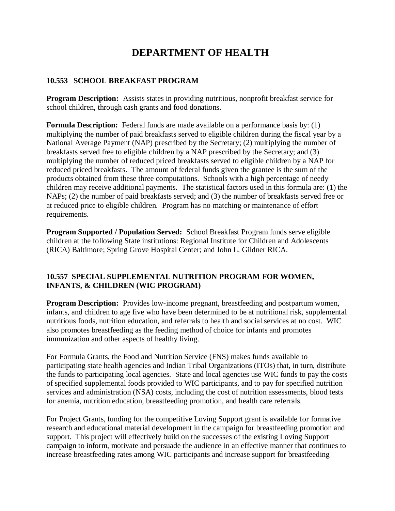# **DEPARTMENT OF HEALTH**

#### **10.553 SCHOOL BREAKFAST PROGRAM**

**Program Description:** Assists states in providing nutritious, nonprofit breakfast service for school children, through cash grants and food donations.

**Formula Description:** Federal funds are made available on a performance basis by: (1) multiplying the number of paid breakfasts served to eligible children during the fiscal year by a National Average Payment (NAP) prescribed by the Secretary; (2) multiplying the number of breakfasts served free to eligible children by a NAP prescribed by the Secretary; and (3) multiplying the number of reduced priced breakfasts served to eligible children by a NAP for reduced priced breakfasts. The amount of federal funds given the grantee is the sum of the products obtained from these three computations. Schools with a high percentage of needy children may receive additional payments. The statistical factors used in this formula are: (1) the NAPs; (2) the number of paid breakfasts served; and (3) the number of breakfasts served free or at reduced price to eligible children. Program has no matching or maintenance of effort requirements.

**Program Supported / Population Served:** School Breakfast Program funds serve eligible children at the following State institutions: Regional Institute for Children and Adolescents (RICA) Baltimore; Spring Grove Hospital Center; and John L. Gildner RICA.

# **10.557 SPECIAL SUPPLEMENTAL NUTRITION PROGRAM FOR WOMEN, INFANTS, & CHILDREN (WIC PROGRAM)**

**Program Description:** Provides low-income pregnant, breastfeeding and postpartum women, infants, and children to age five who have been determined to be at nutritional risk, supplemental nutritious foods, nutrition education, and referrals to health and social services at no cost. WIC also promotes breastfeeding as the feeding method of choice for infants and promotes immunization and other aspects of healthy living.

For Formula Grants, the Food and Nutrition Service (FNS) makes funds available to participating state health agencies and Indian Tribal Organizations (ITOs) that, in turn, distribute the funds to participating local agencies. State and local agencies use WIC funds to pay the costs of specified supplemental foods provided to WIC participants, and to pay for specified nutrition services and administration (NSA) costs, including the cost of nutrition assessments, blood tests for anemia, nutrition education, breastfeeding promotion, and health care referrals.

For Project Grants, funding for the competitive Loving Support grant is available for formative research and educational material development in the campaign for breastfeeding promotion and support. This project will effectively build on the successes of the existing Loving Support campaign to inform, motivate and persuade the audience in an effective manner that continues to increase breastfeeding rates among WIC participants and increase support for breastfeeding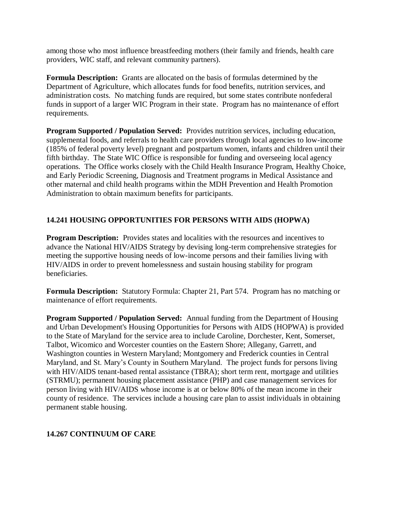among those who most influence breastfeeding mothers (their family and friends, health care providers, WIC staff, and relevant community partners).

**Formula Description:** Grants are allocated on the basis of formulas determined by the Department of Agriculture, which allocates funds for food benefits, nutrition services, and administration costs. No matching funds are required, but some states contribute nonfederal funds in support of a larger WIC Program in their state. Program has no maintenance of effort requirements.

**Program Supported / Population Served:** Provides nutrition services, including education, supplemental foods, and referrals to health care providers through local agencies to low-income (185% of federal poverty level) pregnant and postpartum women, infants and children until their fifth birthday. The State WIC Office is responsible for funding and overseeing local agency operations. The Office works closely with the Child Health Insurance Program, Healthy Choice, and Early Periodic Screening, Diagnosis and Treatment programs in Medical Assistance and other maternal and child health programs within the MDH Prevention and Health Promotion Administration to obtain maximum benefits for participants.

# **14.241 HOUSING OPPORTUNITIES FOR PERSONS WITH AIDS (HOPWA)**

**Program Description:** Provides states and localities with the resources and incentives to advance the National HIV/AIDS Strategy by devising long-term comprehensive strategies for meeting the supportive housing needs of low-income persons and their families living with HIV/AIDS in order to prevent homelessness and sustain housing stability for program beneficiaries.

**Formula Description:** Statutory Formula: Chapter 21, Part 574. Program has no matching or maintenance of effort requirements.

**Program Supported / Population Served:** Annual funding from the Department of Housing and Urban Development's Housing Opportunities for Persons with AIDS (HOPWA) is provided to the State of Maryland for the service area to include Caroline, Dorchester, Kent, Somerset, Talbot, Wicomico and Worcester counties on the Eastern Shore; Allegany, Garrett, and Washington counties in Western Maryland; Montgomery and Frederick counties in Central Maryland, and St. Mary's County in Southern Maryland. The project funds for persons living with HIV/AIDS tenant-based rental assistance (TBRA); short term rent, mortgage and utilities (STRMU); permanent housing placement assistance (PHP) and case management services for person living with HIV/AIDS whose income is at or below 80% of the mean income in their county of residence. The services include a housing care plan to assist individuals in obtaining permanent stable housing.

# **14.267 CONTINUUM OF CARE**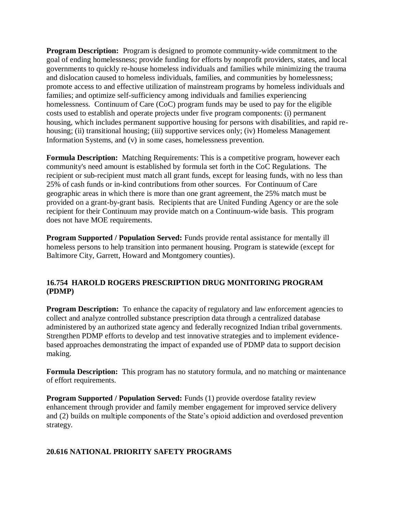**Program Description:** Program is designed to promote community-wide commitment to the goal of ending homelessness; provide funding for efforts by nonprofit providers, states, and local governments to quickly re-house homeless individuals and families while minimizing the trauma and dislocation caused to homeless individuals, families, and communities by homelessness; promote access to and effective utilization of mainstream programs by homeless individuals and families; and optimize self-sufficiency among individuals and families experiencing homelessness. Continuum of Care (CoC) program funds may be used to pay for the eligible costs used to establish and operate projects under five program components: (i) permanent housing, which includes permanent supportive housing for persons with disabilities, and rapid rehousing; (ii) transitional housing; (iii) supportive services only; (iv) Homeless Management Information Systems, and (v) in some cases, homelessness prevention.

**Formula Description:** Matching Requirements: This is a competitive program, however each community's need amount is established by formula set forth in the CoC Regulations. The recipient or sub-recipient must match all grant funds, except for leasing funds, with no less than 25% of cash funds or in-kind contributions from other sources. For Continuum of Care geographic areas in which there is more than one grant agreement, the 25% match must be provided on a grant-by-grant basis. Recipients that are United Funding Agency or are the sole recipient for their Continuum may provide match on a Continuum-wide basis. This program does not have MOE requirements.

**Program Supported / Population Served:** Funds provide rental assistance for mentally ill homeless persons to help transition into permanent housing. Program is statewide (except for Baltimore City, Garrett, Howard and Montgomery counties).

# **16.754 HAROLD ROGERS PRESCRIPTION DRUG MONITORING PROGRAM (PDMP)**

**Program Description:** To enhance the capacity of regulatory and law enforcement agencies to collect and analyze controlled substance prescription data through a centralized database administered by an authorized state agency and federally recognized Indian tribal governments. Strengthen PDMP efforts to develop and test innovative strategies and to implement evidencebased approaches demonstrating the impact of expanded use of PDMP data to support decision making.

**Formula Description:** This program has no statutory formula, and no matching or maintenance of effort requirements.

**Program Supported / Population Served:** Funds (1) provide overdose fatality review enhancement through provider and family member engagement for improved service delivery and (2) builds on multiple components of the State's opioid addiction and overdosed prevention strategy.

# **20.616 NATIONAL PRIORITY SAFETY PROGRAMS**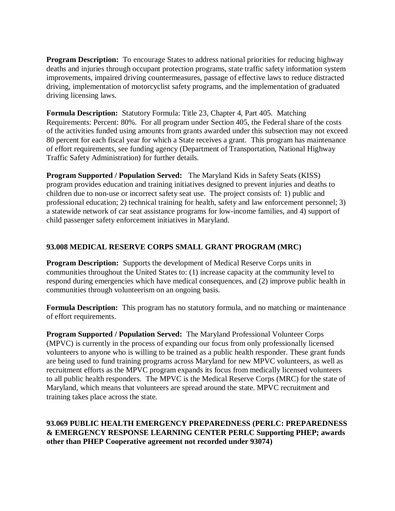**Program Description:** To encourage States to address national priorities for reducing highway deaths and injuries through occupant protection programs, state traffic safety information system improvements, impaired driving countermeasures, passage of effective laws to reduce distracted driving, implementation of motorcyclist safety programs, and the implementation of graduated driving licensing laws.

**Formula Description:** Statutory Formula: Title 23, Chapter 4, Part 405. Matching Requirements: Percent: 80%. For all program under Section 405, the Federal share of the costs of the activities funded using amounts from grants awarded under this subsection may not exceed 80 percent for each fiscal year for which a State receives a grant. This program has maintenance of effort requirements, see funding agency (Department of Transportation, National Highway Traffic Safety Administration) for further details.

**Program Supported / Population Served:** The Maryland Kids in Safety Seats (KISS) program provides education and training initiatives designed to prevent injuries and deaths to children due to non-use or incorrect safety seat use. The project consists of: 1) public and professional education; 2) technical training for health, safety and law enforcement personnel; 3) a statewide network of car seat assistance programs for low-income families, and 4) support of child passenger safety enforcement initiatives in Maryland.

# **93.008 MEDICAL RESERVE CORPS SMALL GRANT PROGRAM (MRC)**

**Program Description:** Supports the development of Medical Reserve Corps units in communities throughout the United States to: (1) increase capacity at the community level to respond during emergencies which have medical consequences, and (2) improve public health in communities through volunteerism on an ongoing basis.

**Formula Description:** This program has no statutory formula, and no matching or maintenance of effort requirements.

**Program Supported / Population Served:** The Maryland Professional Volunteer Corps (MPVC) is currently in the process of expanding our focus from only professionally licensed volunteers to anyone who is willing to be trained as a public health responder. These grant funds are being used to fund training programs across Maryland for new MPVC volunteers, as well as recruitment efforts as the MPVC program expands its focus from medically licensed volunteers to all public health responders.The MPVC is the Medical Reserve Corps (MRC) for the state of Maryland, which means that volunteers are spread around the state. MPVC recruitment and training takes place across the state.

# **93.069 PUBLIC HEALTH EMERGENCY PREPAREDNESS (PERLC: PREPAREDNESS & EMERGENCY RESPONSE LEARNING CENTER PERLC Supporting PHEP; awards other than PHEP Cooperative agreement not recorded under 93074)**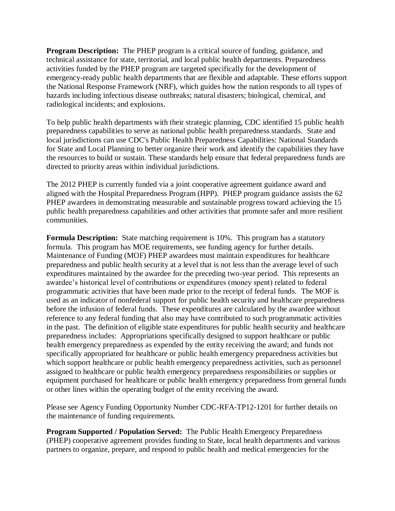**Program Description:** The PHEP program is a critical source of funding, guidance, and technical assistance for state, territorial, and local public health departments. Preparedness activities funded by the PHEP program are targeted specifically for the development of emergency-ready public health departments that are flexible and adaptable. These efforts support the National Response Framework (NRF), which guides how the nation responds to all types of hazards including infectious disease outbreaks; natural disasters; biological, chemical, and radiological incidents; and explosions.

To help public health departments with their strategic planning, CDC identified 15 public health preparedness capabilities to serve as national public health preparedness standards. State and local jurisdictions can use CDC's Public Health Preparedness Capabilities: National Standards for State and Local Planning to better organize their work and identify the capabilities they have the resources to build or sustain. These standards help ensure that federal preparedness funds are directed to priority areas within individual jurisdictions.

The 2012 PHEP is currently funded via a joint cooperative agreement guidance award and aligned with the Hospital Preparedness Program (HPP). PHEP program guidance assists the 62 PHEP awardees in demonstrating measurable and sustainable progress toward achieving the 15 public health preparedness capabilities and other activities that promote safer and more resilient communities.

**Formula Description:** State matching requirement is 10%. This program has a statutory formula. This program has MOE requirements, see funding agency for further details. Maintenance of Funding (MOF) PHEP awardees must maintain expenditures for healthcare preparedness and public health security at a level that is not less than the average level of such expenditures maintained by the awardee for the preceding two-year period. This represents an awardee's historical level of contributions or expenditures (money spent) related to federal programmatic activities that have been made prior to the receipt of federal funds. The MOF is used as an indicator of nonfederal support for public health security and healthcare preparedness before the infusion of federal funds. These expenditures are calculated by the awardee without reference to any federal funding that also may have contributed to such programmatic activities in the past. The definition of eligible state expenditures for public health security and healthcare preparedness includes: Appropriations specifically designed to support healthcare or public health emergency preparedness as expended by the entity receiving the award; and funds not specifically appropriated for healthcare or public health emergency preparedness activities but which support healthcare or public health emergency preparedness activities, such as personnel assigned to healthcare or public health emergency preparedness responsibilities or supplies or equipment purchased for healthcare or public health emergency preparedness from general funds or other lines within the operating budget of the entity receiving the award.

Please see Agency Funding Opportunity Number CDC-RFA-TP12-1201 for further details on the maintenance of funding requirements.

**Program Supported / Population Served:** The Public Health Emergency Preparedness (PHEP) cooperative agreement provides funding to State, local health departments and various partners to organize, prepare, and respond to public health and medical emergencies for the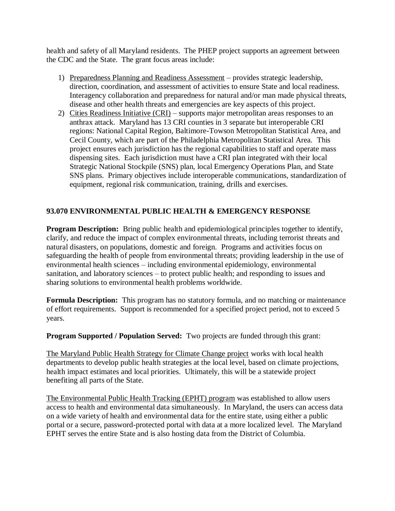health and safety of all Maryland residents. The PHEP project supports an agreement between the CDC and the State. The grant focus areas include:

- 1) Preparedness Planning and Readiness Assessment provides strategic leadership, direction, coordination, and assessment of activities to ensure State and local readiness. Interagency collaboration and preparedness for natural and/or man made physical threats, disease and other health threats and emergencies are key aspects of this project.
- 2) Cities Readiness Initiative (CRI) supports major metropolitan areas responses to an anthrax attack. Maryland has 13 CRI counties in 3 separate but interoperable CRI regions: National Capital Region, Baltimore-Towson Metropolitan Statistical Area, and Cecil County, which are part of the Philadelphia Metropolitan Statistical Area. This project ensures each jurisdiction has the regional capabilities to staff and operate mass dispensing sites. Each jurisdiction must have a CRI plan integrated with their local Strategic National Stockpile (SNS) plan, local Emergency Operations Plan, and State SNS plans. Primary objectives include interoperable communications, standardization of equipment, regional risk communication, training, drills and exercises.

# **93.070 ENVIRONMENTAL PUBLIC HEALTH & EMERGENCY RESPONSE**

**Program Description:** Bring public health and epidemiological principles together to identify, clarify, and reduce the impact of complex environmental threats, including terrorist threats and natural disasters, on populations, domestic and foreign. Programs and activities focus on safeguarding the health of people from environmental threats; providing leadership in the use of environmental health sciences – including environmental epidemiology, environmental sanitation, and laboratory sciences – to protect public health; and responding to issues and sharing solutions to environmental health problems worldwide.

**Formula Description:** This program has no statutory formula, and no matching or maintenance of effort requirements. Support is recommended for a specified project period, not to exceed 5 years.

**Program Supported / Population Served:** Two projects are funded through this grant:

The Maryland Public Health Strategy for Climate Change project works with local health departments to develop public health strategies at the local level, based on climate projections, health impact estimates and local priorities. Ultimately, this will be a statewide project benefiting all parts of the State.

The Environmental Public Health Tracking (EPHT) program was established to allow users access to health and environmental data simultaneously. In Maryland, the users can access data on a wide variety of health and environmental data for the entire state, using either a public portal or a secure, password-protected portal with data at a more localized level. The Maryland EPHT serves the entire State and is also hosting data from the District of Columbia.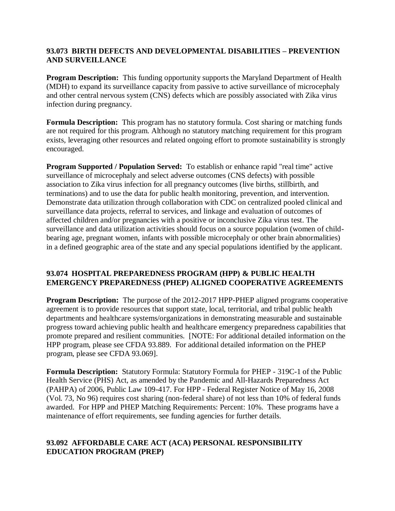#### **93.073 BIRTH DEFECTS AND DEVELOPMENTAL DISABILITIES – PREVENTION AND SURVEILLANCE**

**Program Description:** This funding opportunity supports the Maryland Department of Health (MDH) to expand its surveillance capacity from passive to active surveillance of microcephaly and other central nervous system (CNS) defects which are possibly associated with Zika virus infection during pregnancy.

**Formula Description:** This program has no statutory formula. Cost sharing or matching funds are not required for this program. Although no statutory matching requirement for this program exists, leveraging other resources and related ongoing effort to promote sustainability is strongly encouraged.

**Program Supported / Population Served:** To establish or enhance rapid "real time" active surveillance of microcephaly and select adverse outcomes (CNS defects) with possible association to Zika virus infection for all pregnancy outcomes (live births, stillbirth, and terminations) and to use the data for public health monitoring, prevention, and intervention. Demonstrate data utilization through collaboration with CDC on centralized pooled clinical and surveillance data projects, referral to services, and linkage and evaluation of outcomes of affected children and/or pregnancies with a positive or inconclusive Zika virus test. The surveillance and data utilization activities should focus on a source population (women of childbearing age, pregnant women, infants with possible microcephaly or other brain abnormalities) in a defined geographic area of the state and any special populations identified by the applicant.

# **93.074 HOSPITAL PREPAREDNESS PROGRAM (HPP) & PUBLIC HEALTH EMERGENCY PREPAREDNESS (PHEP) ALIGNED COOPERATIVE AGREEMENTS**

**Program Description:** The purpose of the 2012-2017 HPP-PHEP aligned programs cooperative agreement is to provide resources that support state, local, territorial, and tribal public health departments and healthcare systems/organizations in demonstrating measurable and sustainable progress toward achieving public health and healthcare emergency preparedness capabilities that promote prepared and resilient communities. [NOTE: For additional detailed information on the HPP program, please see CFDA 93.889. For additional detailed information on the PHEP program, please see CFDA 93.069].

**Formula Description:** Statutory Formula: Statutory Formula for PHEP - 319C-1 of the Public Health Service (PHS) Act, as amended by the Pandemic and All-Hazards Preparedness Act (PAHPA) of 2006, Public Law 109-417. For HPP - Federal Register Notice of May 16, 2008 (Vol. 73, No 96) requires cost sharing (non-federal share) of not less than 10% of federal funds awarded. For HPP and PHEP Matching Requirements: Percent: 10%. These programs have a maintenance of effort requirements, see funding agencies for further details.

# **93.092 AFFORDABLE CARE ACT (ACA) PERSONAL RESPONSIBILITY EDUCATION PROGRAM (PREP)**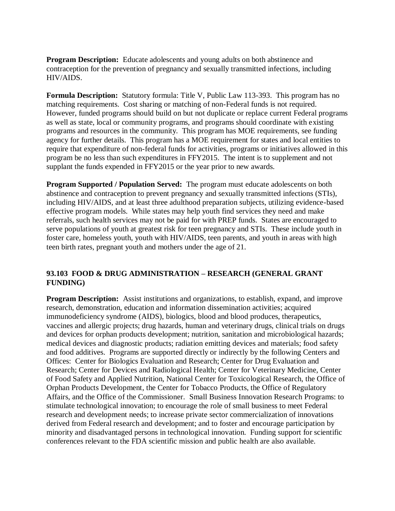**Program Description:** Educate adolescents and young adults on both abstinence and contraception for the prevention of pregnancy and sexually transmitted infections, including HIV/AIDS.

**Formula Description:** Statutory formula: Title V, Public Law 113-393. This program has no matching requirements. Cost sharing or matching of non-Federal funds is not required. However, funded programs should build on but not duplicate or replace current Federal programs as well as state, local or community programs, and programs should coordinate with existing programs and resources in the community. This program has MOE requirements, see funding agency for further details. This program has a MOE requirement for states and local entities to require that expenditure of non-federal funds for activities, programs or initiatives allowed in this program be no less than such expenditures in FFY2015. The intent is to supplement and not supplant the funds expended in FFY2015 or the year prior to new awards.

**Program Supported / Population Served:** The program must educate adolescents on both abstinence and contraception to prevent pregnancy and sexually transmitted infections (STIs), including HIV/AIDS, and at least three adulthood preparation subjects, utilizing evidence-based effective program models. While states may help youth find services they need and make referrals, such health services may not be paid for with PREP funds. States are encouraged to serve populations of youth at greatest risk for teen pregnancy and STIs. These include youth in foster care, homeless youth, youth with HIV/AIDS, teen parents, and youth in areas with high teen birth rates, pregnant youth and mothers under the age of 21.

# **93.103 FOOD & DRUG ADMINISTRATION – RESEARCH (GENERAL GRANT FUNDING)**

**Program Description:** Assist institutions and organizations, to establish, expand, and improve research, demonstration, education and information dissemination activities; acquired immunodeficiency syndrome (AIDS), biologics, blood and blood produces, therapeutics, vaccines and allergic projects; drug hazards, human and veterinary drugs, clinical trials on drugs and devices for orphan products development; nutrition, sanitation and microbiological hazards; medical devices and diagnostic products; radiation emitting devices and materials; food safety and food additives. Programs are supported directly or indirectly by the following Centers and Offices: Center for Biologics Evaluation and Research; Center for Drug Evaluation and Research; Center for Devices and Radiological Health; Center for Veterinary Medicine, Center of Food Safety and Applied Nutrition, National Center for Toxicological Research, the Office of Orphan Products Development, the Center for Tobacco Products, the Office of Regulatory Affairs, and the Office of the Commissioner. Small Business Innovation Research Programs: to stimulate technological innovation; to encourage the role of small business to meet Federal research and development needs; to increase private sector commercialization of innovations derived from Federal research and development; and to foster and encourage participation by minority and disadvantaged persons in technological innovation. Funding support for scientific conferences relevant to the FDA scientific mission and public health are also available.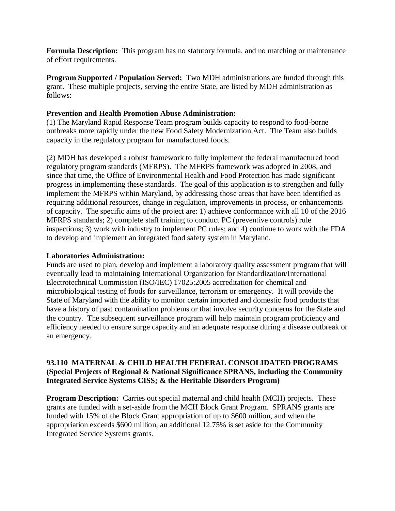**Formula Description:** This program has no statutory formula, and no matching or maintenance of effort requirements.

**Program Supported / Population Served:** Two MDH administrations are funded through this grant. These multiple projects, serving the entire State, are listed by MDH administration as follows:

#### **Prevention and Health Promotion Abuse Administration:**

(1) The Maryland Rapid Response Team program builds capacity to respond to food-borne outbreaks more rapidly under the new Food Safety Modernization Act. The Team also builds capacity in the regulatory program for manufactured foods.

(2) MDH has developed a robust framework to fully implement the federal manufactured food regulatory program standards (MFRPS). The MFRPS framework was adopted in 2008, and since that time, the Office of Environmental Health and Food Protection has made significant progress in implementing these standards. The goal of this application is to strengthen and fully implement the MFRPS within Maryland, by addressing those areas that have been identified as requiring additional resources, change in regulation, improvements in process, or enhancements of capacity. The specific aims of the project are: 1) achieve conformance with all 10 of the 2016 MFRPS standards; 2) complete staff training to conduct PC (preventive controls) rule inspections; 3) work with industry to implement PC rules; and 4) continue to work with the FDA to develop and implement an integrated food safety system in Maryland.

#### **Laboratories Administration:**

Funds are used to plan, develop and implement a laboratory quality assessment program that will eventually lead to maintaining International Organization for Standardization/International Electrotechnical Commission (ISO/IEC) 17025:2005 accreditation for chemical and microbiological testing of foods for surveillance, terrorism or emergency. It will provide the State of Maryland with the ability to monitor certain imported and domestic food products that have a history of past contamination problems or that involve security concerns for the State and the country. The subsequent surveillance program will help maintain program proficiency and efficiency needed to ensure surge capacity and an adequate response during a disease outbreak or an emergency.

#### **93.110 MATERNAL & CHILD HEALTH FEDERAL CONSOLIDATED PROGRAMS (Special Projects of Regional & National Significance SPRANS, including the Community Integrated Service Systems CISS; & the Heritable Disorders Program)**

**Program Description:** Carries out special maternal and child health (MCH) projects. These grants are funded with a set-aside from the MCH Block Grant Program. SPRANS grants are funded with 15% of the Block Grant appropriation of up to \$600 million, and when the appropriation exceeds \$600 million, an additional 12.75% is set aside for the Community Integrated Service Systems grants.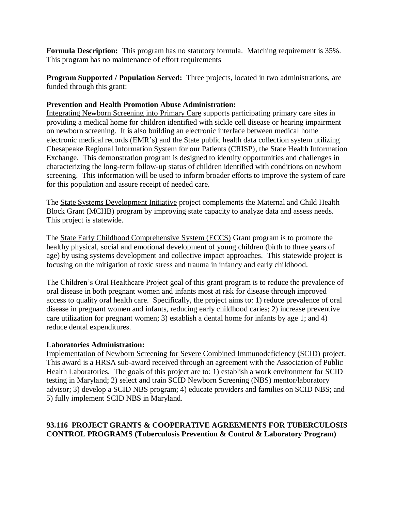**Formula Description:** This program has no statutory formula. Matching requirement is 35%. This program has no maintenance of effort requirements

**Program Supported / Population Served:** Three projects, located in two administrations, are funded through this grant:

#### **Prevention and Health Promotion Abuse Administration:**

Integrating Newborn Screening into Primary Care supports participating primary care sites in providing a medical home for children identified with sickle cell disease or hearing impairment on newborn screening. It is also building an electronic interface between medical home electronic medical records (EMR's) and the State public health data collection system utilizing Chesapeake Regional Information System for our Patients (CRISP), the State Health Information Exchange. This demonstration program is designed to identify opportunities and challenges in characterizing the long-term follow-up status of children identified with conditions on newborn screening. This information will be used to inform broader efforts to improve the system of care for this population and assure receipt of needed care.

The State Systems Development Initiative project complements the Maternal and Child Health Block Grant (MCHB) program by improving state capacity to analyze data and assess needs. This project is statewide.

The State Early Childhood Comprehensive System (ECCS) Grant program is to promote the healthy physical, social and emotional development of young children (birth to three years of age) by using systems development and collective impact approaches. This statewide project is focusing on the mitigation of toxic stress and trauma in infancy and early childhood.

The Children's Oral Healthcare Project goal of this grant program is to reduce the prevalence of oral disease in both pregnant women and infants most at risk for disease through improved access to quality oral health care. Specifically, the project aims to: 1) reduce prevalence of oral disease in pregnant women and infants, reducing early childhood caries; 2) increase preventive care utilization for pregnant women; 3) establish a dental home for infants by age 1; and 4) reduce dental expenditures.

#### **Laboratories Administration:**

Implementation of Newborn Screening for Severe Combined Immunodeficiency (SCID) project. This award is a HRSA sub-award received through an agreement with the Association of Public Health Laboratories. The goals of this project are to: 1) establish a work environment for SCID testing in Maryland; 2) select and train SCID Newborn Screening (NBS) mentor/laboratory advisor; 3) develop a SCID NBS program; 4) educate providers and families on SCID NBS; and 5) fully implement SCID NBS in Maryland.

# **93.116 PROJECT GRANTS & COOPERATIVE AGREEMENTS FOR TUBERCULOSIS CONTROL PROGRAMS (Tuberculosis Prevention & Control & Laboratory Program)**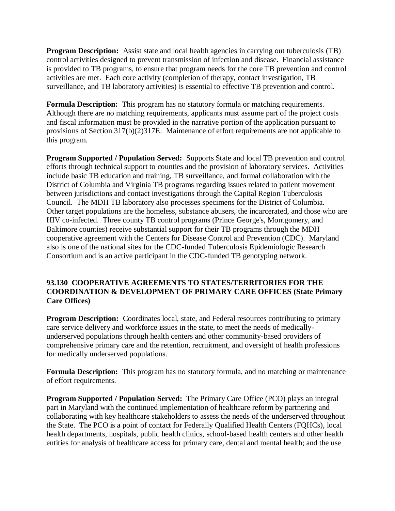**Program Description:** Assist state and local health agencies in carrying out tuberculosis (TB) control activities designed to prevent transmission of infection and disease. Financial assistance is provided to TB programs, to ensure that program needs for the core TB prevention and control activities are met. Each core activity (completion of therapy, contact investigation, TB surveillance, and TB laboratory activities) is essential to effective TB prevention and control.

**Formula Description:** This program has no statutory formula or matching requirements. Although there are no matching requirements, applicants must assume part of the project costs and fiscal information must be provided in the narrative portion of the application pursuant to provisions of Section 317(b)(2)317E. Maintenance of effort requirements are not applicable to this program.

**Program Supported / Population Served:** Supports State and local TB prevention and control efforts through technical support to counties and the provision of laboratory services. Activities include basic TB education and training, TB surveillance, and formal collaboration with the District of Columbia and Virginia TB programs regarding issues related to patient movement between jurisdictions and contact investigations through the Capital Region Tuberculosis Council. The MDH TB laboratory also processes specimens for the District of Columbia. Other target populations are the homeless, substance abusers, the incarcerated, and those who are HIV co-infected. Three county TB control programs (Prince George's, Montgomery, and Baltimore counties) receive substantial support for their TB programs through the MDH cooperative agreement with the Centers for Disease Control and Prevention (CDC). Maryland also is one of the national sites for the CDC-funded Tuberculosis Epidemiologic Research Consortium and is an active participant in the CDC-funded TB genotyping network.

#### **93.130 COOPERATIVE AGREEMENTS TO STATES/TERRITORIES FOR THE COORDINATION & DEVELOPMENT OF PRIMARY CARE OFFICES (State Primary Care Offices)**

**Program Description:** Coordinates local, state, and Federal resources contributing to primary care service delivery and workforce issues in the state, to meet the needs of medicallyunderserved populations through health centers and other community-based providers of comprehensive primary care and the retention, recruitment, and oversight of health professions for medically underserved populations.

**Formula Description:** This program has no statutory formula, and no matching or maintenance of effort requirements.

**Program Supported / Population Served:** The Primary Care Office (PCO) plays an integral part in Maryland with the continued implementation of healthcare reform by partnering and collaborating with key healthcare stakeholders to assess the needs of the underserved throughout the State. The PCO is a point of contact for Federally Qualified Health Centers (FQHCs), local health departments, hospitals, public health clinics, school-based health centers and other health entities for analysis of healthcare access for primary care, dental and mental health; and the use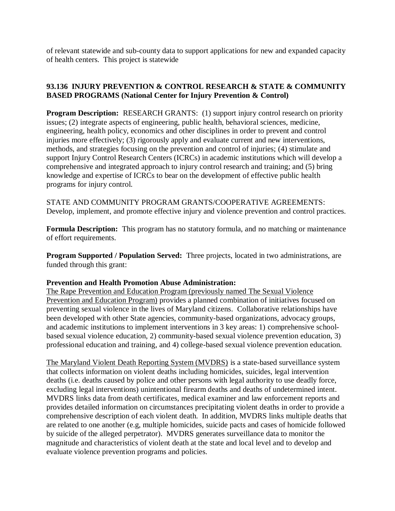of relevant statewide and sub-county data to support applications for new and expanded capacity of health centers. This project is statewide

# **93.136 INJURY PREVENTION & CONTROL RESEARCH & STATE & COMMUNITY BASED PROGRAMS (National Center for Injury Prevention & Control)**

**Program Description:** RESEARCH GRANTS: (1) support injury control research on priority issues; (2) integrate aspects of engineering, public health, behavioral sciences, medicine, engineering, health policy, economics and other disciplines in order to prevent and control injuries more effectively; (3) rigorously apply and evaluate current and new interventions, methods, and strategies focusing on the prevention and control of injuries; (4) stimulate and support Injury Control Research Centers (ICRCs) in academic institutions which will develop a comprehensive and integrated approach to injury control research and training; and (5) bring knowledge and expertise of ICRCs to bear on the development of effective public health programs for injury control.

STATE AND COMMUNITY PROGRAM GRANTS/COOPERATIVE AGREEMENTS: Develop, implement, and promote effective injury and violence prevention and control practices.

**Formula Description:** This program has no statutory formula, and no matching or maintenance of effort requirements.

**Program Supported / Population Served:** Three projects, located in two administrations, are funded through this grant:

# **Prevention and Health Promotion Abuse Administration:**

The Rape Prevention and Education Program (previously named The Sexual Violence Prevention and Education Program) provides a planned combination of initiatives focused on preventing sexual violence in the lives of Maryland citizens. Collaborative relationships have been developed with other State agencies, community-based organizations, advocacy groups, and academic institutions to implement interventions in 3 key areas: 1) comprehensive schoolbased sexual violence education, 2) community-based sexual violence prevention education, 3) professional education and training, and 4) college-based sexual violence prevention education.

The Maryland Violent Death Reporting System (MVDRS) is a state-based surveillance system that collects information on violent deaths including homicides, suicides, legal intervention deaths (i.e. deaths caused by police and other persons with legal authority to use deadly force, excluding legal interventions) unintentional firearm deaths and deaths of undetermined intent. MVDRS links data from death certificates, medical examiner and law enforcement reports and provides detailed information on circumstances precipitating violent deaths in order to provide a comprehensive description of each violent death. In addition, MVDRS links multiple deaths that are related to one another (e.g, multiple homicides, suicide pacts and cases of homicide followed by suicide of the alleged perpetrator). MVDRS generates surveillance data to monitor the magnitude and characteristics of violent death at the state and local level and to develop and evaluate violence prevention programs and policies.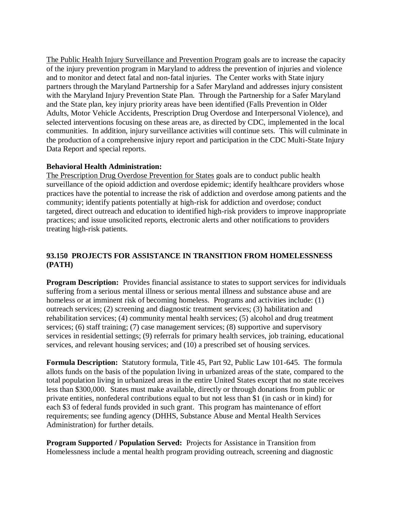The Public Health Injury Surveillance and Prevention Program goals are to increase the capacity of the injury prevention program in Maryland to address the prevention of injuries and violence and to monitor and detect fatal and non-fatal injuries. The Center works with State injury partners through the Maryland Partnership for a Safer Maryland and addresses injury consistent with the Maryland Injury Prevention State Plan. Through the Partnership for a Safer Maryland and the State plan, key injury priority areas have been identified (Falls Prevention in Older Adults, Motor Vehicle Accidents, Prescription Drug Overdose and Interpersonal Violence), and selected interventions focusing on these areas are, as directed by CDC, implemented in the local communities. In addition, injury surveillance activities will continue sets. This will culminate in the production of a comprehensive injury report and participation in the CDC Multi-State Injury Data Report and special reports.

#### **Behavioral Health Administration:**

The Prescription Drug Overdose Prevention for States goals are to conduct public health surveillance of the opioid addiction and overdose epidemic; identify healthcare providers whose practices have the potential to increase the risk of addiction and overdose among patients and the community; identify patients potentially at high-risk for addiction and overdose; conduct targeted, direct outreach and education to identified high-risk providers to improve inappropriate practices; and issue unsolicited reports, electronic alerts and other notifications to providers treating high-risk patients.

# **93.150 PROJECTS FOR ASSISTANCE IN TRANSITION FROM HOMELESSNESS (PATH)**

**Program Description:** Provides financial assistance to states to support services for individuals suffering from a serious mental illness or serious mental illness and substance abuse and are homeless or at imminent risk of becoming homeless. Programs and activities include: (1) outreach services; (2) screening and diagnostic treatment services; (3) habilitation and rehabilitation services; (4) community mental health services; (5) alcohol and drug treatment services; (6) staff training; (7) case management services; (8) supportive and supervisory services in residential settings; (9) referrals for primary health services, job training, educational services, and relevant housing services; and (10) a prescribed set of housing services.

**Formula Description:** Statutory formula, Title 45, Part 92, Public Law 101-645. The formula allots funds on the basis of the population living in urbanized areas of the state, compared to the total population living in urbanized areas in the entire United States except that no state receives less than \$300,000. States must make available, directly or through donations from public or private entities, nonfederal contributions equal to but not less than \$1 (in cash or in kind) for each \$3 of federal funds provided in such grant. This program has maintenance of effort requirements; see funding agency (DHHS, Substance Abuse and Mental Health Services Administration) for further details.

**Program Supported / Population Served:** Projects for Assistance in Transition from Homelessness include a mental health program providing outreach, screening and diagnostic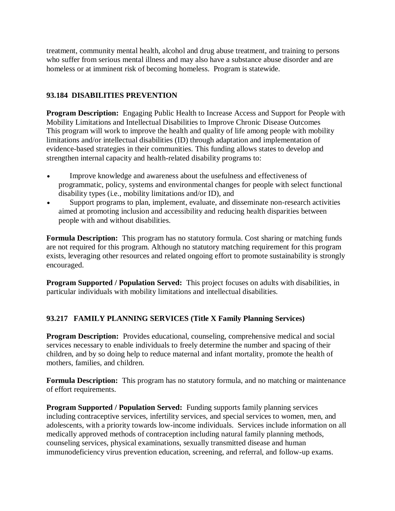treatment, community mental health, alcohol and drug abuse treatment, and training to persons who suffer from serious mental illness and may also have a substance abuse disorder and are homeless or at imminent risk of becoming homeless. Program is statewide.

# **93.184 DISABILITIES PREVENTION**

**Program Description:** Engaging Public Health to Increase Access and Support for People with Mobility Limitations and Intellectual Disabilities to Improve Chronic Disease Outcomes This program will work to improve the health and quality of life among people with mobility limitations and/or intellectual disabilities (ID) through adaptation and implementation of evidence-based strategies in their communities. This funding allows states to develop and strengthen internal capacity and health-related disability programs to:

- Improve knowledge and awareness about the usefulness and effectiveness of programmatic, policy, systems and environmental changes for people with select functional disability types (i.e., mobility limitations and/or ID), and
- Support programs to plan, implement, evaluate, and disseminate non-research activities aimed at promoting inclusion and accessibility and reducing health disparities between people with and without disabilities.

**Formula Description:** This program has no statutory formula. Cost sharing or matching funds are not required for this program. Although no statutory matching requirement for this program exists, leveraging other resources and related ongoing effort to promote sustainability is strongly encouraged.

**Program Supported / Population Served:** This project focuses on adults with disabilities, in particular individuals with mobility limitations and intellectual disabilities.

# **93.217 FAMILY PLANNING SERVICES (Title X Family Planning Services)**

**Program Description:** Provides educational, counseling, comprehensive medical and social services necessary to enable individuals to freely determine the number and spacing of their children, and by so doing help to reduce maternal and infant mortality, promote the health of mothers, families, and children.

**Formula Description:** This program has no statutory formula, and no matching or maintenance of effort requirements.

**Program Supported / Population Served:** Funding supports family planning services including contraceptive services, infertility services, and special services to women, men, and adolescents, with a priority towards low-income individuals. Services include information on all medically approved methods of contraception including natural family planning methods, counseling services, physical examinations, sexually transmitted disease and human immunodeficiency virus prevention education, screening, and referral, and follow-up exams.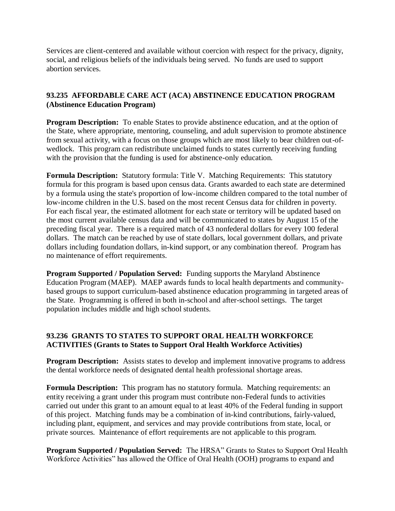Services are client-centered and available without coercion with respect for the privacy, dignity, social, and religious beliefs of the individuals being served. No funds are used to support abortion services.

# **93.235 AFFORDABLE CARE ACT (ACA) ABSTINENCE EDUCATION PROGRAM (Abstinence Education Program)**

**Program Description:** To enable States to provide abstinence education, and at the option of the State, where appropriate, mentoring, counseling, and adult supervision to promote abstinence from sexual activity, with a focus on those groups which are most likely to bear children out-ofwedlock. This program can redistribute unclaimed funds to states currently receiving funding with the provision that the funding is used for abstinence-only education.

**Formula Description:** Statutory formula: Title V. Matching Requirements: This statutory formula for this program is based upon census data. Grants awarded to each state are determined by a formula using the state's proportion of low-income children compared to the total number of low-income children in the U.S. based on the most recent Census data for children in poverty. For each fiscal year, the estimated allotment for each state or territory will be updated based on the most current available census data and will be communicated to states by August 15 of the preceding fiscal year. There is a required match of 43 nonfederal dollars for every 100 federal dollars. The match can be reached by use of state dollars, local government dollars, and private dollars including foundation dollars, in-kind support, or any combination thereof. Program has no maintenance of effort requirements.

**Program Supported / Population Served:** Funding supports the Maryland Abstinence Education Program (MAEP). MAEP awards funds to local health departments and communitybased groups to support curriculum-based abstinence education programming in targeted areas of the State. Programming is offered in both in-school and after-school settings. The target population includes middle and high school students.

# **93.236 GRANTS TO STATES TO SUPPORT ORAL HEALTH WORKFORCE ACTIVITIES (Grants to States to Support Oral Health Workforce Activities)**

**Program Description:** Assists states to develop and implement innovative programs to address the dental workforce needs of designated dental health professional shortage areas.

**Formula Description:** This program has no statutory formula. Matching requirements: an entity receiving a grant under this program must contribute non-Federal funds to activities carried out under this grant to an amount equal to at least 40% of the Federal funding in support of this project. Matching funds may be a combination of in-kind contributions, fairly-valued, including plant, equipment, and services and may provide contributions from state, local, or private sources. Maintenance of effort requirements are not applicable to this program.

**Program Supported / Population Served:** The HRSA" Grants to States to Support Oral Health Workforce Activities" has allowed the Office of Oral Health (OOH) programs to expand and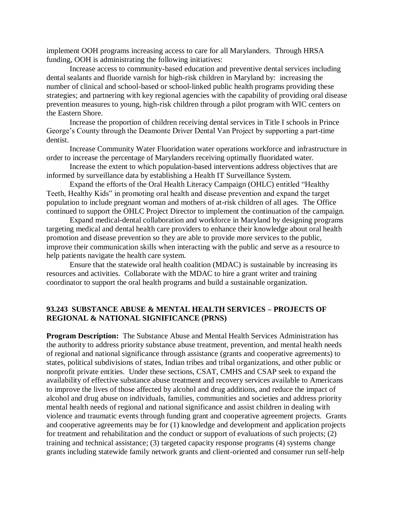implement OOH programs increasing access to care for all Marylanders. Through HRSA funding, OOH is administrating the following initiatives:

Increase access to community-based education and preventive dental services including dental sealants and fluoride varnish for high-risk children in Maryland by: increasing the number of clinical and school-based or school-linked public health programs providing these strategies; and partnering with key regional agencies with the capability of providing oral disease prevention measures to young, high-risk children through a pilot program with WIC centers on the Eastern Shore.

Increase the proportion of children receiving dental services in Title I schools in Prince George's County through the Deamonte Driver Dental Van Project by supporting a part-time dentist.

Increase Community Water Fluoridation water operations workforce and infrastructure in order to increase the percentage of Marylanders receiving optimally fluoridated water.

Increase the extent to which population-based interventions address objectives that are informed by surveillance data by establishing a Health IT Surveillance System.

Expand the efforts of the Oral Health Literacy Campaign (OHLC) entitled "Healthy Teeth, Healthy Kids" in promoting oral health and disease prevention and expand the target population to include pregnant woman and mothers of at-risk children of all ages. The Office continued to support the OHLC Project Director to implement the continuation of the campaign.

Expand medical-dental collaboration and workforce in Maryland by designing programs targeting medical and dental health care providers to enhance their knowledge about oral health promotion and disease prevention so they are able to provide more services to the public, improve their communication skills when interacting with the public and serve as a resource to help patients navigate the health care system.

Ensure that the statewide oral health coalition (MDAC) is sustainable by increasing its resources and activities. Collaborate with the MDAC to hire a grant writer and training coordinator to support the oral health programs and build a sustainable organization.

#### **93.243 SUBSTANCE ABUSE & MENTAL HEALTH SERVICES – PROJECTS OF REGIONAL & NATIONAL SIGNIFICANCE (PRNS)**

**Program Description:** The Substance Abuse and Mental Health Services Administration has the authority to address priority substance abuse treatment, prevention, and mental health needs of regional and national significance through assistance (grants and cooperative agreements) to states, political subdivisions of states, Indian tribes and tribal organizations, and other public or nonprofit private entities. Under these sections, CSAT, CMHS and CSAP seek to expand the availability of effective substance abuse treatment and recovery services available to Americans to improve the lives of those affected by alcohol and drug additions, and reduce the impact of alcohol and drug abuse on individuals, families, communities and societies and address priority mental health needs of regional and national significance and assist children in dealing with violence and traumatic events through funding grant and cooperative agreement projects. Grants and cooperative agreements may be for (1) knowledge and development and application projects for treatment and rehabilitation and the conduct or support of evaluations of such projects; (2) training and technical assistance; (3) targeted capacity response programs (4) systems change grants including statewide family network grants and client-oriented and consumer run self-help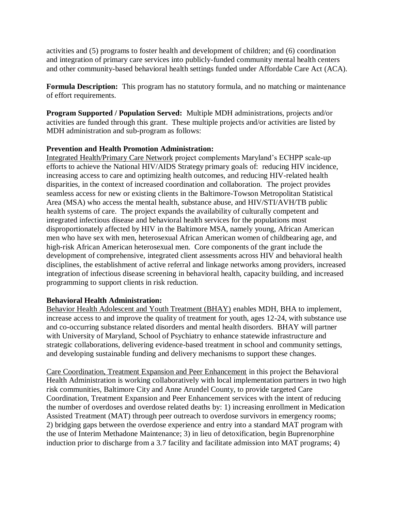activities and (5) programs to foster health and development of children; and (6) coordination and integration of primary care services into publicly-funded community mental health centers and other community-based behavioral health settings funded under Affordable Care Act (ACA).

**Formula Description:** This program has no statutory formula, and no matching or maintenance of effort requirements.

**Program Supported / Population Served:** Multiple MDH administrations, projects and/or activities are funded through this grant. These multiple projects and/or activities are listed by MDH administration and sub-program as follows:

#### **Prevention and Health Promotion Administration:**

Integrated Health/Primary Care Network project complements Maryland's ECHPP scale-up efforts to achieve the National HIV/AIDS Strategy primary goals of: reducing HIV incidence, increasing access to care and optimizing health outcomes, and reducing HIV-related health disparities, in the context of increased coordination and collaboration. The project provides seamless access for new or existing clients in the Baltimore-Towson Metropolitan Statistical Area (MSA) who access the mental health, substance abuse, and HIV/STI/AVH/TB public health systems of care. The project expands the availability of culturally competent and integrated infectious disease and behavioral health services for the populations most disproportionately affected by HIV in the Baltimore MSA, namely young, African American men who have sex with men, heterosexual African American women of childbearing age, and high-risk African American heterosexual men. Core components of the grant include the development of comprehensive, integrated client assessments across HIV and behavioral health disciplines, the establishment of active referral and linkage networks among providers, increased integration of infectious disease screening in behavioral health, capacity building, and increased programming to support clients in risk reduction.

#### **Behavioral Health Administration:**

Behavior Health Adolescent and Youth Treatment (BHAY) enables MDH, BHA to implement, increase access to and improve the quality of treatment for youth, ages 12-24, with substance use and co-occurring substance related disorders and mental health disorders. BHAY will partner with University of Maryland, School of Psychiatry to enhance statewide infrastructure and strategic collaborations, delivering evidence-based treatment in school and community settings, and developing sustainable funding and delivery mechanisms to support these changes.

Care Coordination, Treatment Expansion and Peer Enhancement in this project the Behavioral Health Administration is working collaboratively with local implementation partners in two high risk communities, Baltimore City and Anne Arundel County, to provide targeted Care Coordination, Treatment Expansion and Peer Enhancement services with the intent of reducing the number of overdoses and overdose related deaths by: 1) increasing enrollment in Medication Assisted Treatment (MAT) through peer outreach to overdose survivors in emergency rooms; 2) bridging gaps between the overdose experience and entry into a standard MAT program with the use of Interim Methadone Maintenance; 3) in lieu of detoxification, begin Buprenorphine induction prior to discharge from a 3.7 facility and facilitate admission into MAT programs; 4)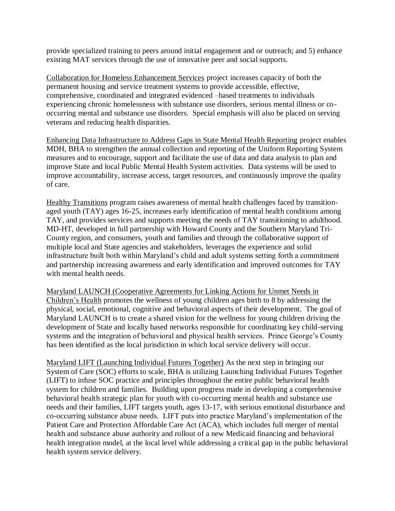provide specialized training to peers around initial engagement and or outreach; and 5) enhance existing MAT services through the use of innovative peer and social supports.

Collaboration for Homeless Enhancement Services project increases capacity of both the permanent housing and service treatment systems to provide accessible, effective, comprehensive, coordinated and integrated evidenced –based treatments to individuals experiencing chronic homelessness with substance use disorders, serious mental illness or cooccurring mental and substance use disorders. Special emphasis will also be placed on serving veterans and reducing health disparities.

Enhancing Data Infrastructure to Address Gaps in State Mental Health Reporting project enables MDH, BHA to strengthen the annual collection and reporting of the Uniform Reporting System measures and to encourage, support and facilitate the use of data and data analysis to plan and improve State and local Public Mental Health System activities. Data systems will be used to improve accountability, increase access, target resources, and continuously improve the quality of care.

Healthy Transitions program raises awareness of mental health challenges faced by transitionaged youth (TAY) ages 16-25, increases early identification of mental health conditions among TAY, and provides services and supports meeting the needs of TAY transitioning to adulthood. MD-HT, developed in full partnership with Howard County and the Southern Maryland Tri-County region, and consumers, youth and families and through the collaborative support of multiple local and State agencies and stakeholders, leverages the experience and solid infrastructure built both within Maryland's child and adult systems setting forth a commitment and partnership increasing awareness and early identification and improved outcomes for TAY with mental health needs.

Maryland LAUNCH (Cooperative Agreements for Linking Actions for Unmet Needs in Children's Health promotes the wellness of young children ages birth to 8 by addressing the physical, social, emotional, cognitive and behavioral aspects of their development. The goal of Maryland LAUNCH is to create a shared vision for the wellness for young children driving the development of State and locally based networks responsible for coordinating key child-serving systems and the integration of behavioral and physical health services. Prince George's County has been identified as the local jurisdiction in which local service delivery will occur.

Maryland LIFT (Launching Individual Futures Together) As the next step in bringing our System of Care (SOC) efforts to scale, BHA is utilizing Launching Individual Futures Together (LIFT) to infuse SOC practice and principles throughout the entire public behavioral health system for children and families. Building upon progress made in developing a comprehensive behavioral health strategic plan for youth with co-occurring mental health and substance use needs and their families, LIFT targets youth, ages 13-17, with serious emotional disturbance and co-occurring substance abuse needs. LIFT puts into practice Maryland's implementation of the Patient Care and Protection Affordable Care Act (ACA), which includes full merger of mental health and substance abuse authority and rollout of a new Medicaid financing and behavioral health integration model, at the local level while addressing a critical gap in the public behavioral health system service delivery.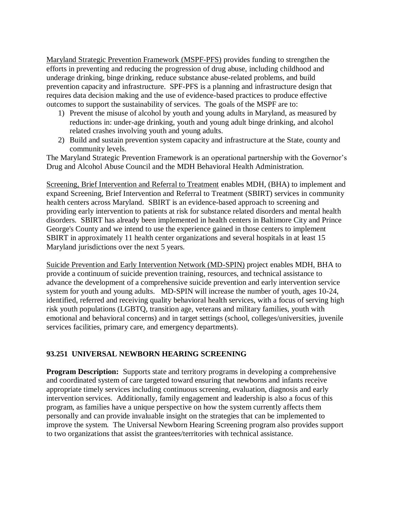Maryland Strategic Prevention Framework (MSPF-PFS) provides funding to strengthen the efforts in preventing and reducing the progression of drug abuse, including childhood and underage drinking, binge drinking, reduce substance abuse-related problems, and build prevention capacity and infrastructure. SPF-PFS is a planning and infrastructure design that requires data decision making and the use of evidence-based practices to produce effective outcomes to support the sustainability of services. The goals of the MSPF are to:

- 1) Prevent the misuse of alcohol by youth and young adults in Maryland, as measured by reductions in: under-age drinking, youth and young adult binge drinking, and alcohol related crashes involving youth and young adults.
- 2) Build and sustain prevention system capacity and infrastructure at the State, county and community levels.

The Maryland Strategic Prevention Framework is an operational partnership with the Governor's Drug and Alcohol Abuse Council and the MDH Behavioral Health Administration.

Screening, Brief Intervention and Referral to Treatment enables MDH, (BHA) to implement and expand Screening, Brief Intervention and Referral to Treatment (SBIRT) services in community health centers across Maryland. SBIRT is an evidence-based approach to screening and providing early intervention to patients at risk for substance related disorders and mental health disorders. SBIRT has already been implemented in health centers in Baltimore City and Prince George's County and we intend to use the experience gained in those centers to implement SBIRT in approximately 11 health center organizations and several hospitals in at least 15 Maryland jurisdictions over the next 5 years.

Suicide Prevention and Early Intervention Network (MD-SPIN) project enables MDH, BHA to provide a continuum of suicide prevention training, resources, and technical assistance to advance the development of a comprehensive suicide prevention and early intervention service system for youth and young adults. MD-SPIN will increase the number of youth, ages 10-24, identified, referred and receiving quality behavioral health services, with a focus of serving high risk youth populations (LGBTQ, transition age, veterans and military families, youth with emotional and behavioral concerns) and in target settings (school, colleges/universities, juvenile services facilities, primary care, and emergency departments).

# **93.251 UNIVERSAL NEWBORN HEARING SCREENING**

**Program Description:** Supports state and territory programs in developing a comprehensive and coordinated system of care targeted toward ensuring that newborns and infants receive appropriate timely services including continuous screening, evaluation, diagnosis and early intervention services. Additionally, family engagement and leadership is also a focus of this program, as families have a unique perspective on how the system currently affects them personally and can provide invaluable insight on the strategies that can be implemented to improve the system. The Universal Newborn Hearing Screening program also provides support to two organizations that assist the grantees/territories with technical assistance.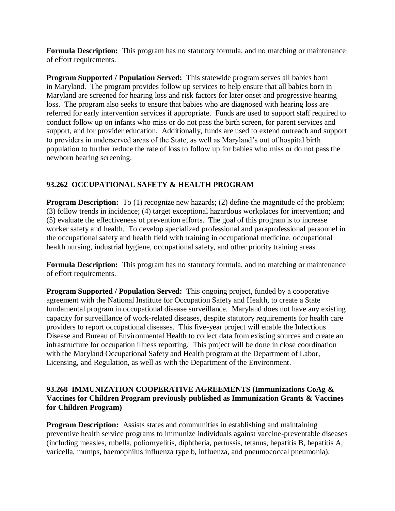**Formula Description:** This program has no statutory formula, and no matching or maintenance of effort requirements.

**Program Supported / Population Served:** This statewide program serves all babies born in Maryland. The program provides follow up services to help ensure that all babies born in Maryland are screened for hearing loss and risk factors for later onset and progressive hearing loss. The program also seeks to ensure that babies who are diagnosed with hearing loss are referred for early intervention services if appropriate. Funds are used to support staff required to conduct follow up on infants who miss or do not pass the birth screen, for parent services and support, and for provider education. Additionally, funds are used to extend outreach and support to providers in underserved areas of the State, as well as Maryland's out of hospital birth population to further reduce the rate of loss to follow up for babies who miss or do not pass the newborn hearing screening.

# **93.262 OCCUPATIONAL SAFETY & HEALTH PROGRAM**

**Program Description:** To (1) recognize new hazards; (2) define the magnitude of the problem; (3) follow trends in incidence; (4) target exceptional hazardous workplaces for intervention; and (5) evaluate the effectiveness of prevention efforts. The goal of this program is to increase worker safety and health. To develop specialized professional and paraprofessional personnel in the occupational safety and health field with training in occupational medicine, occupational health nursing, industrial hygiene, occupational safety, and other priority training areas.

**Formula Description:** This program has no statutory formula, and no matching or maintenance of effort requirements.

**Program Supported / Population Served:** This ongoing project, funded by a cooperative agreement with the National Institute for Occupation Safety and Health, to create a State fundamental program in occupational disease surveillance. Maryland does not have any existing capacity for surveillance of work-related diseases, despite statutory requirements for health care providers to report occupational diseases. This five-year project will enable the Infectious Disease and Bureau of Environmental Health to collect data from existing sources and create an infrastructure for occupation illness reporting. This project will be done in close coordination with the Maryland Occupational Safety and Health program at the Department of Labor, Licensing, and Regulation, as well as with the Department of the Environment.

# **93.268 IMMUNIZATION COOPERATIVE AGREEMENTS (Immunizations CoAg & Vaccines for Children Program previously published as Immunization Grants & Vaccines for Children Program)**

**Program Description:** Assists states and communities in establishing and maintaining preventive health service programs to immunize individuals against vaccine-preventable diseases (including measles, rubella, poliomyelitis, diphtheria, pertussis, tetanus, hepatitis B, hepatitis A, varicella, mumps, haemophilus influenza type b, influenza, and pneumococcal pneumonia).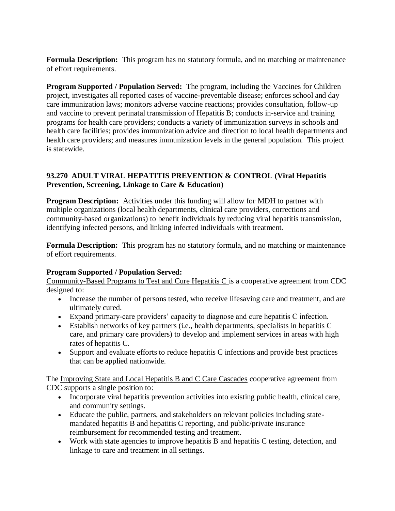**Formula Description:** This program has no statutory formula, and no matching or maintenance of effort requirements.

**Program Supported / Population Served:** The program, including the Vaccines for Children project, investigates all reported cases of vaccine-preventable disease; enforces school and day care immunization laws; monitors adverse vaccine reactions; provides consultation, follow-up and vaccine to prevent perinatal transmission of Hepatitis B; conducts in-service and training programs for health care providers; conducts a variety of immunization surveys in schools and health care facilities; provides immunization advice and direction to local health departments and health care providers; and measures immunization levels in the general population. This project is statewide.

# **93.270 ADULT VIRAL HEPATITIS PREVENTION & CONTROL (Viral Hepatitis Prevention, Screening, Linkage to Care & Education)**

**Program Description:** Activities under this funding will allow for MDH to partner with multiple organizations (local health departments, clinical care providers, corrections and community-based organizations) to benefit individuals by reducing viral hepatitis transmission, identifying infected persons, and linking infected individuals with treatment.

**Formula Description:** This program has no statutory formula, and no matching or maintenance of effort requirements.

# **Program Supported / Population Served:**

Community-Based Programs to Test and Cure Hepatitis C is a cooperative agreement from CDC designed to:

- Increase the number of persons tested, who receive lifesaving care and treatment, and are ultimately cured.
- Expand primary-care providers' capacity to diagnose and cure hepatitis C infection.
- Establish networks of key partners (i.e., health departments, specialists in hepatitis C care, and primary care providers) to develop and implement services in areas with high rates of hepatitis C.
- Support and evaluate efforts to reduce hepatitis C infections and provide best practices that can be applied nationwide.

The Improving State and Local Hepatitis B and C Care Cascades cooperative agreement from CDC supports a single position to:

- Incorporate viral hepatitis prevention activities into existing public health, clinical care, and community settings.
- Educate the public, partners, and stakeholders on relevant policies including statemandated hepatitis B and hepatitis C reporting, and public/private insurance reimbursement for recommended testing and treatment.
- Work with state agencies to improve hepatitis B and hepatitis C testing, detection, and linkage to care and treatment in all settings.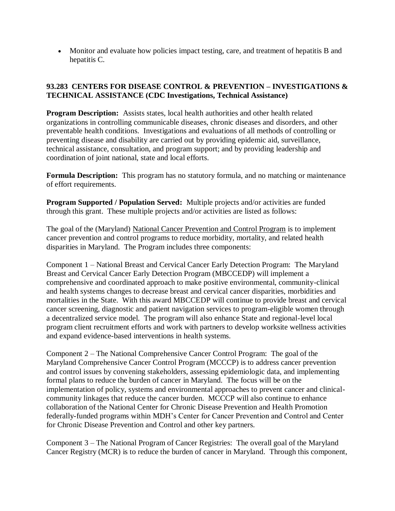Monitor and evaluate how policies impact testing, care, and treatment of hepatitis B and hepatitis C.

# **93.283 CENTERS FOR DISEASE CONTROL & PREVENTION – INVESTIGATIONS & TECHNICAL ASSISTANCE (CDC Investigations, Technical Assistance)**

**Program Description:** Assists states, local health authorities and other health related organizations in controlling communicable diseases, chronic diseases and disorders, and other preventable health conditions. Investigations and evaluations of all methods of controlling or preventing disease and disability are carried out by providing epidemic aid, surveillance, technical assistance, consultation, and program support; and by providing leadership and coordination of joint national, state and local efforts.

**Formula Description:** This program has no statutory formula, and no matching or maintenance of effort requirements.

**Program Supported / Population Served:** Multiple projects and/or activities are funded through this grant. These multiple projects and/or activities are listed as follows:

The goal of the (Maryland) National Cancer Prevention and Control Program is to implement cancer prevention and control programs to reduce morbidity, mortality, and related health disparities in Maryland. The Program includes three components:

Component 1 – National Breast and Cervical Cancer Early Detection Program: The Maryland Breast and Cervical Cancer Early Detection Program (MBCCEDP) will implement a comprehensive and coordinated approach to make positive environmental, community-clinical and health systems changes to decrease breast and cervical cancer disparities, morbidities and mortalities in the State. With this award MBCCEDP will continue to provide breast and cervical cancer screening, diagnostic and patient navigation services to program-eligible women through a decentralized service model. The program will also enhance State and regional-level local program client recruitment efforts and work with partners to develop worksite wellness activities and expand evidence-based interventions in health systems.

Component 2 – The National Comprehensive Cancer Control Program: The goal of the Maryland Comprehensive Cancer Control Program (MCCCP) is to address cancer prevention and control issues by convening stakeholders, assessing epidemiologic data, and implementing formal plans to reduce the burden of cancer in Maryland. The focus will be on the implementation of policy, systems and environmental approaches to prevent cancer and clinicalcommunity linkages that reduce the cancer burden. MCCCP will also continue to enhance collaboration of the National Center for Chronic Disease Prevention and Health Promotion federally-funded programs within MDH's Center for Cancer Prevention and Control and Center for Chronic Disease Prevention and Control and other key partners.

Component 3 – The National Program of Cancer Registries: The overall goal of the Maryland Cancer Registry (MCR) is to reduce the burden of cancer in Maryland. Through this component,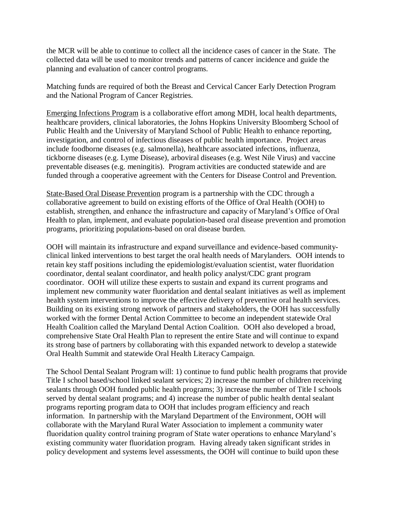the MCR will be able to continue to collect all the incidence cases of cancer in the State. The collected data will be used to monitor trends and patterns of cancer incidence and guide the planning and evaluation of cancer control programs.

Matching funds are required of both the Breast and Cervical Cancer Early Detection Program and the National Program of Cancer Registries.

Emerging Infections Program is a collaborative effort among MDH, local health departments, healthcare providers, clinical laboratories, the Johns Hopkins University Bloomberg School of Public Health and the University of Maryland School of Public Health to enhance reporting, investigation, and control of infectious diseases of public health importance. Project areas include foodborne diseases (e.g. salmonella), healthcare associated infections, influenza, tickborne diseases (e.g. Lyme Disease), arboviral diseases (e.g. West Nile Virus) and vaccine preventable diseases (e.g. meningitis). Program activities are conducted statewide and are funded through a cooperative agreement with the Centers for Disease Control and Prevention.

State-Based Oral Disease Prevention program is a partnership with the CDC through a collaborative agreement to build on existing efforts of the Office of Oral Health (OOH) to establish, strengthen, and enhance the infrastructure and capacity of Maryland's Office of Oral Health to plan, implement, and evaluate population-based oral disease prevention and promotion programs, prioritizing populations-based on oral disease burden.

OOH will maintain its infrastructure and expand surveillance and evidence-based communityclinical linked interventions to best target the oral health needs of Marylanders. OOH intends to retain key staff positions including the epidemiologist/evaluation scientist, water fluoridation coordinator, dental sealant coordinator, and health policy analyst/CDC grant program coordinator. OOH will utilize these experts to sustain and expand its current programs and implement new community water fluoridation and dental sealant initiatives as well as implement health system interventions to improve the effective delivery of preventive oral health services. Building on its existing strong network of partners and stakeholders, the OOH has successfully worked with the former Dental Action Committee to become an independent statewide Oral Health Coalition called the Maryland Dental Action Coalition. OOH also developed a broad, comprehensive State Oral Health Plan to represent the entire State and will continue to expand its strong base of partners by collaborating with this expanded network to develop a statewide Oral Health Summit and statewide Oral Health Literacy Campaign.

The School Dental Sealant Program will: 1) continue to fund public health programs that provide Title I school based/school linked sealant services; 2) increase the number of children receiving sealants through OOH funded public health programs; 3) increase the number of Title I schools served by dental sealant programs; and 4) increase the number of public health dental sealant programs reporting program data to OOH that includes program efficiency and reach information. In partnership with the Maryland Department of the Environment, OOH will collaborate with the Maryland Rural Water Association to implement a community water fluoridation quality control training program of State water operations to enhance Maryland's existing community water fluoridation program. Having already taken significant strides in policy development and systems level assessments, the OOH will continue to build upon these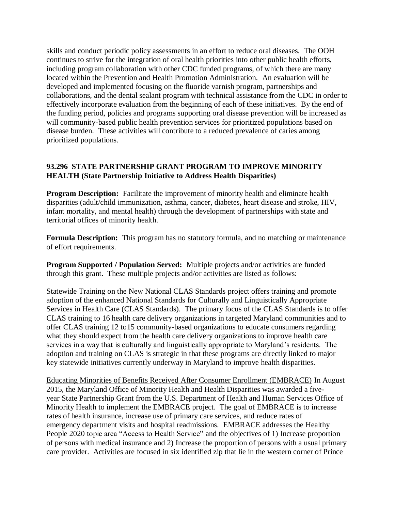skills and conduct periodic policy assessments in an effort to reduce oral diseases. The OOH continues to strive for the integration of oral health priorities into other public health efforts, including program collaboration with other CDC funded programs, of which there are many located within the Prevention and Health Promotion Administration. An evaluation will be developed and implemented focusing on the fluoride varnish program, partnerships and collaborations, and the dental sealant program with technical assistance from the CDC in order to effectively incorporate evaluation from the beginning of each of these initiatives. By the end of the funding period, policies and programs supporting oral disease prevention will be increased as will community-based public health prevention services for prioritized populations based on disease burden. These activities will contribute to a reduced prevalence of caries among prioritized populations.

# **93.296 STATE PARTNERSHIP GRANT PROGRAM TO IMPROVE MINORITY HEALTH (State Partnership Initiative to Address Health Disparities)**

**Program Description:** Facilitate the improvement of minority health and eliminate health disparities (adult/child immunization, asthma, cancer, diabetes, heart disease and stroke, HIV, infant mortality, and mental health) through the development of partnerships with state and territorial offices of minority health.

**Formula Description:** This program has no statutory formula, and no matching or maintenance of effort requirements.

**Program Supported / Population Served:** Multiple projects and/or activities are funded through this grant. These multiple projects and/or activities are listed as follows:

Statewide Training on the New National CLAS Standards project offers training and promote adoption of the enhanced National Standards for Culturally and Linguistically Appropriate Services in Health Care (CLAS Standards). The primary focus of the CLAS Standards is to offer CLAS training to 16 health care delivery organizations in targeted Maryland communities and to offer CLAS training 12 to15 community-based organizations to educate consumers regarding what they should expect from the health care delivery organizations to improve health care services in a way that is culturally and linguistically appropriate to Maryland's residents. The adoption and training on CLAS is strategic in that these programs are directly linked to major key statewide initiatives currently underway in Maryland to improve health disparities.

Educating Minorities of Benefits Received After Consumer Enrollment (EMBRACE) In August 2015, the Maryland Office of Minority Health and Health Disparities was awarded a fiveyear [State Partnership Grant from the U.S. Department of Health and Human Services Office of](http://minorityhealth.hhs.gov/omh/browse.aspx?lvl=2&lvlid=51)  [Minority Health](http://minorityhealth.hhs.gov/omh/browse.aspx?lvl=2&lvlid=51) to implement the EMBRACE project. The goal of EMBRACE is to increase rates of health insurance, increase use of primary care services, and reduce rates of emergency department visits and hospital readmissions. EMBRACE addresses the [Healthy](https://www.healthypeople.gov/)  [People 2020](https://www.healthypeople.gov/) topic area "Access to Health Service" and the objectives of 1) Increase proportion of persons with medical insurance and 2) Increase the proportion of persons with a usual primary care provider. Activities are focused in six identified zip that lie in the western corner of Prince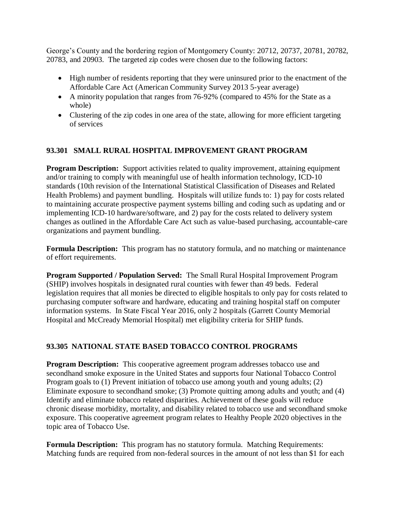George's County and the bordering region of Montgomery County: 20712, 20737, 20781, 20782, 20783, and 20903. The targeted zip codes were chosen due to the following factors:

- High number of residents reporting that they were uninsured prior to the enactment of the Affordable Care Act (American Community Survey 2013 5-year average)
- A minority population that ranges from 76-92% (compared to 45% for the State as a whole)
- Clustering of the zip codes in one area of the state, allowing for more efficient targeting of services

# **93.301 SMALL RURAL HOSPITAL IMPROVEMENT GRANT PROGRAM**

**Program Description:** Support activities related to quality improvement, attaining equipment and/or training to comply with meaningful use of health information technology, ICD-10 standards (10th revision of the [International Statistical Classification of Diseases and Related](http://en.wikipedia.org/wiki/International_Statistical_Classification_of_Diseases_and_Related_Health_Problems)  [Health Problems\)](http://en.wikipedia.org/wiki/International_Statistical_Classification_of_Diseases_and_Related_Health_Problems) and payment bundling. Hospitals will utilize funds to: 1) pay for costs related to maintaining accurate prospective payment systems billing and coding such as updating and or implementing ICD-10 hardware/software, and 2) pay for the costs related to delivery system changes as outlined in the Affordable Care Act such as value-based purchasing, accountable-care organizations and payment bundling.

**Formula Description:** This program has no statutory formula, and no matching or maintenance of effort requirements.

**Program Supported / Population Served:** The Small Rural Hospital Improvement Program (SHIP) involves hospitals in designated rural counties with fewer than 49 beds. Federal legislation requires that all monies be directed to eligible hospitals to only pay for costs related to purchasing computer software and hardware, educating and training hospital staff on computer information systems. In State Fiscal Year 2016, only 2 hospitals (Garrett County Memorial Hospital and McCready Memorial Hospital) met eligibility criteria for SHIP funds.

# **93.305 NATIONAL STATE BASED TOBACCO CONTROL PROGRAMS**

**Program Description:** This cooperative agreement program addresses tobacco use and secondhand smoke exposure in the United States and supports four National Tobacco Control Program goals to (1) Prevent initiation of tobacco use among youth and young adults; (2) Eliminate exposure to secondhand smoke; (3) Promote quitting among adults and youth; and (4) Identify and eliminate tobacco related disparities. Achievement of these goals will reduce chronic disease morbidity, mortality, and disability related to tobacco use and secondhand smoke exposure. This cooperative agreement program relates to Healthy People 2020 objectives in the topic area of Tobacco Use.

**Formula Description:** This program has no statutory formula. Matching Requirements: Matching funds are required from non-federal sources in the amount of not less than \$1 for each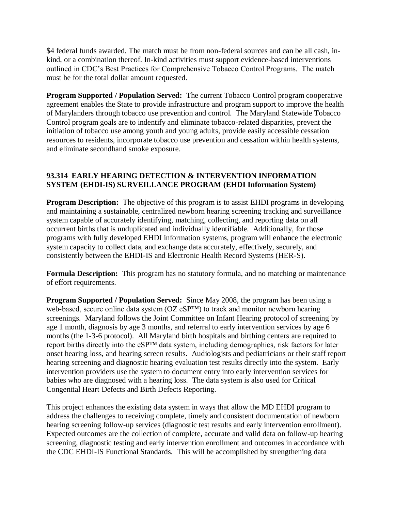\$4 federal funds awarded. The match must be from non-federal sources and can be all cash, inkind, or a combination thereof. In-kind activities must support evidence-based interventions outlined in CDC's Best Practices for Comprehensive Tobacco Control Programs. The match must be for the total dollar amount requested.

**Program Supported / Population Served:** The current Tobacco Control program cooperative agreement enables the State to provide infrastructure and program support to improve the health of Marylanders through tobacco use prevention and control. The Maryland Statewide Tobacco Control program goals are to indentify and eliminate tobacco-related disparities, prevent the initiation of tobacco use among youth and young adults, provide easily accessible cessation resources to residents, incorporate tobacco use prevention and cessation within health systems, and eliminate secondhand smoke exposure.

# **93.314 EARLY HEARING DETECTION & INTERVENTION INFORMATION SYSTEM (EHDI-IS) SURVEILLANCE PROGRAM (EHDI Information System)**

**Program Description:** The objective of this program is to assist EHDI programs in developing and maintaining a sustainable, centralized newborn hearing screening tracking and surveillance system capable of accurately identifying, matching, collecting, and reporting data on all occurrent births that is unduplicated and individually identifiable. Additionally, for those programs with fully developed EHDI information systems, program will enhance the electronic system capacity to collect data, and exchange data accurately, effectively, securely, and consistently between the EHDI-IS and Electronic Health Record Systems (HER-S).

**Formula Description:** This program has no statutory formula, and no matching or maintenance of effort requirements.

**Program Supported / Population Served:** Since May 2008, the program has been using a web-based, secure online data system (OZ eSP™) to track and monitor newborn hearing screenings. Maryland follows the Joint Committee on Infant Hearing protocol of screening by age 1 month, diagnosis by age 3 months, and referral to early intervention services by age 6 months (the 1-3-6 protocol). All Maryland birth hospitals and birthing centers are required to report births directly into the eSP™ data system, including demographics, risk factors for later onset hearing loss, and hearing screen results. Audiologists and pediatricians or their staff report hearing screening and diagnostic hearing evaluation test results directly into the system. Early intervention providers use the system to document entry into early intervention services for babies who are diagnosed with a hearing loss. The data system is also used for Critical Congenital Heart Defects and Birth Defects Reporting.

This project enhances the existing data system in ways that allow the MD EHDI program to address the challenges to receiving complete, timely and consistent documentation of newborn hearing screening follow-up services (diagnostic test results and early intervention enrollment). Expected outcomes are the collection of complete, accurate and valid data on follow-up hearing screening, diagnostic testing and early intervention enrollment and outcomes in accordance with the CDC EHDI-IS Functional Standards. This will be accomplished by strengthening data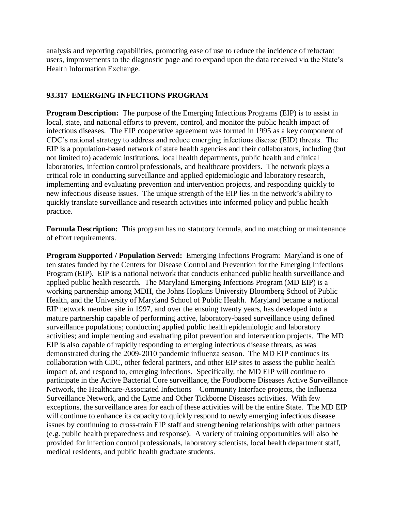analysis and reporting capabilities, promoting ease of use to reduce the incidence of reluctant users, improvements to the diagnostic page and to expand upon the data received via the State's Health Information Exchange.

# **93.317 EMERGING INFECTIONS PROGRAM**

**Program Description:** The purpose of the Emerging Infections Programs (EIP) is to assist in local, state, and national efforts to prevent, control, and monitor the public health impact of infectious diseases. The EIP cooperative agreement was formed in 1995 as a key component of CDC's national strategy to address and reduce emerging infectious disease (EID) threats. The EIP is a population-based network of state health agencies and their collaborators, including (but not limited to) academic institutions, local health departments, public health and clinical laboratories, infection control professionals, and healthcare providers. The network plays a critical role in conducting surveillance and applied epidemiologic and laboratory research, implementing and evaluating prevention and intervention projects, and responding quickly to new infectious disease issues. The unique strength of the EIP lies in the network's ability to quickly translate surveillance and research activities into informed policy and public health practice.

**Formula Description:** This program has no statutory formula, and no matching or maintenance of effort requirements.

**Program Supported / Population Served:** Emerging Infections Program: Maryland is one of ten states funded by the Centers for Disease Control and Prevention for the Emerging Infections Program (EIP). EIP is a national network that conducts enhanced public health surveillance and applied public health research. The Maryland Emerging Infections Program (MD EIP) is a working partnership among MDH, the Johns Hopkins University Bloomberg School of Public Health, and the University of Maryland School of Public Health. Maryland became a national EIP network member site in 1997, and over the ensuing twenty years, has developed into a mature partnership capable of performing active, laboratory-based surveillance using defined surveillance populations; conducting applied public health epidemiologic and laboratory activities; and implementing and evaluating pilot prevention and intervention projects. The MD EIP is also capable of rapidly responding to emerging infectious disease threats, as was demonstrated during the 2009-2010 pandemic influenza season. The MD EIP continues its collaboration with CDC, other federal partners, and other EIP sites to assess the public health impact of, and respond to, emerging infections. Specifically, the MD EIP will continue to participate in the Active Bacterial Core surveillance, the Foodborne Diseases Active Surveillance Network, the Healthcare-Associated Infections – Community Interface projects, the Influenza Surveillance Network, and the Lyme and Other Tickborne Diseases activities. With few exceptions, the surveillance area for each of these activities will be the entire State. The MD EIP will continue to enhance its capacity to quickly respond to newly emerging infectious disease issues by continuing to cross-train EIP staff and strengthening relationships with other partners (e.g. public health preparedness and response). A variety of training opportunities will also be provided for infection control professionals, laboratory scientists, local health department staff, medical residents, and public health graduate students.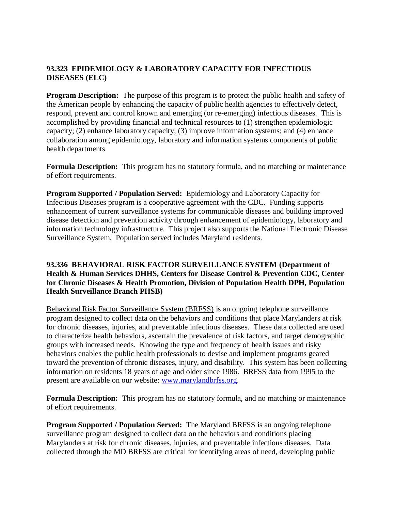# **93.323 EPIDEMIOLOGY & LABORATORY CAPACITY FOR INFECTIOUS DISEASES (ELC)**

**Program Description:** The purpose of this program is to protect the public health and safety of the American people by enhancing the capacity of public health agencies to effectively detect, respond, prevent and control known and emerging (or re-emerging) infectious diseases. This is accomplished by providing financial and technical resources to (1) strengthen epidemiologic capacity; (2) enhance laboratory capacity; (3) improve information systems; and (4) enhance collaboration among epidemiology, laboratory and information systems components of public health departments.

**Formula Description:** This program has no statutory formula, and no matching or maintenance of effort requirements.

**Program Supported / Population Served:** Epidemiology and Laboratory Capacity for Infectious Diseases program is a cooperative agreement with the CDC. Funding supports enhancement of current surveillance systems for communicable diseases and building improved disease detection and prevention activity through enhancement of epidemiology, laboratory and information technology infrastructure. This project also supports the National Electronic Disease Surveillance System. Population served includes Maryland residents.

# **93.336 BEHAVIORAL RISK FACTOR SURVEILLANCE SYSTEM (Department of Health & Human Services DHHS, Centers for Disease Control & Prevention CDC, Center for Chronic Diseases & Health Promotion, Division of Population Health DPH, Population Health Surveillance Branch PHSB)**

Behavioral Risk Factor Surveillance System (BRFSS) is an ongoing telephone surveillance program designed to collect data on the behaviors and conditions that place Marylanders at risk for chronic diseases, injuries, and preventable infectious diseases. These data collected are used to characterize health behaviors, ascertain the prevalence of risk factors, and target demographic groups with increased needs. Knowing the type and frequency of health issues and risky behaviors enables the public health professionals to devise and implement programs geared toward the prevention of chronic diseases, injury, and disability. This system has been collecting information on residents 18 years of age and older since 1986. BRFSS data from 1995 to the present are available on our website: [www.marylandbrfss.org](http://www.marylandbrfss.org/).

**Formula Description:** This program has no statutory formula, and no matching or maintenance of effort requirements.

**Program Supported / Population Served:** The Maryland BRFSS is an ongoing telephone surveillance program designed to collect data on the behaviors and conditions placing Marylanders at risk for chronic diseases, injuries, and preventable infectious diseases. Data collected through the MD BRFSS are critical for identifying areas of need, developing public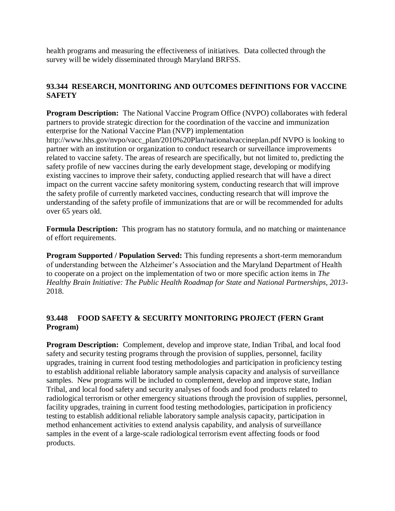health programs and measuring the effectiveness of initiatives. Data collected through the survey will be widely disseminated through Maryland BRFSS.

# **93.344 RESEARCH, MONITORING AND OUTCOMES DEFINITIONS FOR VACCINE SAFETY**

**Program Description:** The National Vaccine Program Office (NVPO) collaborates with federal partners to provide strategic direction for the coordination of the vaccine and immunization enterprise for the National Vaccine Plan (NVP) implementation http://www.hhs.gov/nvpo/vacc\_plan/2010%20Plan/nationalvaccineplan.pdf NVPO is looking to partner with an institution or organization to conduct research or surveillance improvements related to vaccine safety. The areas of research are specifically, but not limited to, predicting the safety profile of new vaccines during the early development stage, developing or modifying existing vaccines to improve their safety, conducting applied research that will have a direct impact on the current vaccine safety monitoring system, conducting research that will improve the safety profile of currently marketed vaccines, conducting research that will improve the understanding of the safety profile of immunizations that are or will be recommended for adults over 65 years old.

**Formula Description:** This program has no statutory formula, and no matching or maintenance of effort requirements.

**Program Supported / Population Served:** This funding represents a short-term memorandum of understanding between the Alzheimer's Association and the Maryland Department of Health to cooperate on a project on the implementation of two or more specific action items in *The Healthy Brain Initiative: The Public Health Roadmap for State and National Partnerships, 2013-* 2018.

# **93.448 FOOD SAFETY & SECURITY MONITORING PROJECT (FERN Grant Program)**

**Program Description:** Complement, develop and improve state, Indian Tribal, and local food safety and security testing programs through the provision of supplies, personnel, facility upgrades, training in current food testing methodologies and participation in proficiency testing to establish additional reliable laboratory sample analysis capacity and analysis of surveillance samples. New programs will be included to complement, develop and improve state, Indian Tribal, and local food safety and security analyses of foods and food products related to radiological terrorism or other emergency situations through the provision of supplies, personnel, facility upgrades, training in current food testing methodologies, participation in proficiency testing to establish additional reliable laboratory sample analysis capacity, participation in method enhancement activities to extend analysis capability, and analysis of surveillance samples in the event of a large-scale radiological terrorism event affecting foods or food products.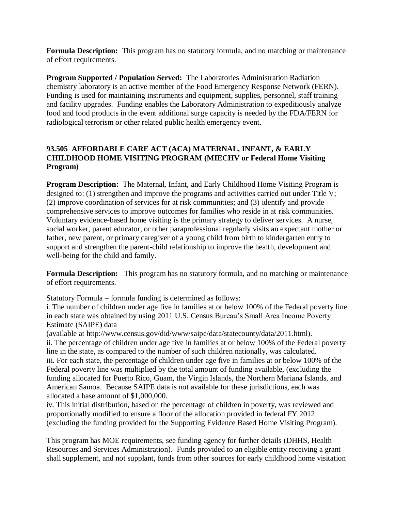**Formula Description:** This program has no statutory formula, and no matching or maintenance of effort requirements.

**Program Supported / Population Served:** The Laboratories Administration Radiation chemistry laboratory is an active member of the Food Emergency Response Network (FERN). Funding is used for maintaining instruments and equipment, supplies, personnel, staff training and facility upgrades. Funding enables the Laboratory Administration to expeditiously analyze food and food products in the event additional surge capacity is needed by the FDA/FERN for radiological terrorism or other related public health emergency event.

# **93.505 AFFORDABLE CARE ACT (ACA) MATERNAL, INFANT, & EARLY CHILDHOOD HOME VISITING PROGRAM (MIECHV or Federal Home Visiting Program)**

**Program Description:** The Maternal, Infant, and Early Childhood Home Visiting Program is designed to: (1) strengthen and improve the programs and activities carried out under Title V; (2) improve coordination of services for at risk communities; and (3) identify and provide comprehensive services to improve outcomes for families who reside in at risk communities. Voluntary evidence-based home visiting is the primary strategy to deliver services. A nurse, social worker, parent educator, or other paraprofessional regularly visits an expectant mother or father, new parent, or primary caregiver of a young child from birth to kindergarten entry to support and strengthen the parent-child relationship to improve the health, development and well-being for the child and family.

**Formula Description:** This program has no statutory formula, and no matching or maintenance of effort requirements.

Statutory Formula – formula funding is determined as follows:

i. The number of children under age five in families at or below 100% of the Federal poverty line in each state was obtained by using 2011 U.S. Census Bureau's Small Area Income Poverty Estimate (SAIPE) data

(available at http://www.census.gov/did/www/saipe/data/statecounty/data/2011.html). ii. The percentage of children under age five in families at or below 100% of the Federal poverty line in the state, as compared to the number of such children nationally, was calculated. iii. For each state, the percentage of children under age five in families at or below 100% of the Federal poverty line was multiplied by the total amount of funding available, (excluding the funding allocated for Puerto Rico, Guam, the Virgin Islands, the Northern Mariana Islands, and American Samoa. Because SAIPE data is not available for these jurisdictions, each was allocated a base amount of \$1,000,000.

iv. This initial distribution, based on the percentage of children in poverty, was reviewed and proportionally modified to ensure a floor of the allocation provided in federal FY 2012 (excluding the funding provided for the Supporting Evidence Based Home Visiting Program).

This program has MOE requirements, see funding agency for further details (DHHS, Health Resources and Services Administration). Funds provided to an eligible entity receiving a grant shall supplement, and not supplant, funds from other sources for early childhood home visitation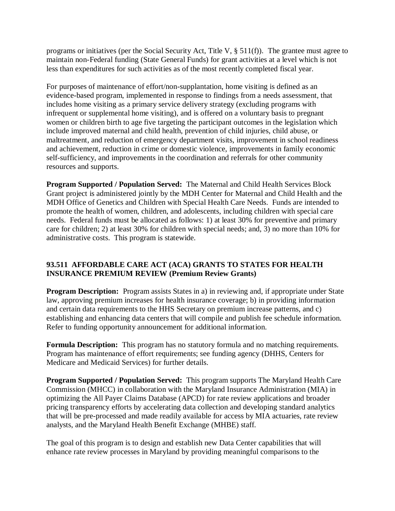programs or initiatives (per the Social Security Act, Title V, § 511(f)). The grantee must agree to maintain non-Federal funding (State General Funds) for grant activities at a level which is not less than expenditures for such activities as of the most recently completed fiscal year.

For purposes of maintenance of effort/non-supplantation, home visiting is defined as an evidence-based program, implemented in response to findings from a needs assessment, that includes home visiting as a primary service delivery strategy (excluding programs with infrequent or supplemental home visiting), and is offered on a voluntary basis to pregnant women or children birth to age five targeting the participant outcomes in the legislation which include improved maternal and child health, prevention of child injuries, child abuse, or maltreatment, and reduction of emergency department visits, improvement in school readiness and achievement, reduction in crime or domestic violence, improvements in family economic self-sufficiency, and improvements in the coordination and referrals for other community resources and supports.

**Program Supported / Population Served:** The Maternal and Child Health Services Block Grant project is administered jointly by the MDH Center for Maternal and Child Health and the MDH Office of Genetics and Children with Special Health Care Needs. Funds are intended to promote the health of women, children, and adolescents, including children with special care needs. Federal funds must be allocated as follows: 1) at least 30% for preventive and primary care for children; 2) at least 30% for children with special needs; and, 3) no more than 10% for administrative costs. This program is statewide.

# **93.511 AFFORDABLE CARE ACT (ACA) GRANTS TO STATES FOR HEALTH INSURANCE PREMIUM REVIEW (Premium Review Grants)**

**Program Description:** Program assists States in a) in reviewing and, if appropriate under State law, approving premium increases for health insurance coverage; b) in providing information and certain data requirements to the HHS Secretary on premium increase patterns, and c) establishing and enhancing data centers that will compile and publish fee schedule information. Refer to funding opportunity announcement for additional information.

**Formula Description:** This program has no statutory formula and no matching requirements. Program has maintenance of effort requirements; see funding agency (DHHS, Centers for Medicare and Medicaid Services) for further details.

**Program Supported / Population Served:** This program supports The Maryland Health Care Commission (MHCC) in collaboration with the Maryland Insurance Administration (MIA) in optimizing the All Payer Claims Database (APCD) for rate review applications and broader pricing transparency efforts by accelerating data collection and developing standard analytics that will be pre-processed and made readily available for access by MIA actuaries, rate review analysts, and the Maryland Health Benefit Exchange (MHBE) staff.

The goal of this program is to design and establish new Data Center capabilities that will enhance rate review processes in Maryland by providing meaningful comparisons to the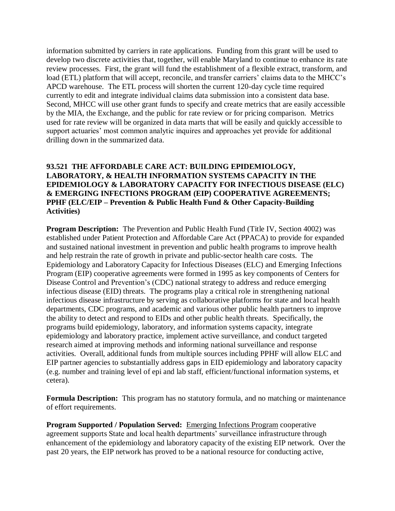information submitted by carriers in rate applications. Funding from this grant will be used to develop two discrete activities that, together, will enable Maryland to continue to enhance its rate review processes. First, the grant will fund the establishment of a flexible extract, transform, and load (ETL) platform that will accept, reconcile, and transfer carriers' claims data to the MHCC's APCD warehouse. The ETL process will shorten the current 120-day cycle time required currently to edit and integrate individual claims data submission into a consistent data base. Second, MHCC will use other grant funds to specify and create metrics that are easily accessible by the MIA, the Exchange, and the public for rate review or for pricing comparison. Metrics used for rate review will be organized in data marts that will be easily and quickly accessible to support actuaries' most common analytic inquires and approaches yet provide for additional drilling down in the summarized data.

# **93.521 THE AFFORDABLE CARE ACT: BUILDING EPIDEMIOLOGY, LABORATORY, & HEALTH INFORMATION SYSTEMS CAPACITY IN THE EPIDEMIOLOGY & LABORATORY CAPACITY FOR INFECTIOUS DISEASE (ELC) & EMERGING INFECTIONS PROGRAM (EIP) COOPERATIVE AGREEMENTS; PPHF (ELC/EIP – Prevention & Public Health Fund & Other Capacity-Building Activities)**

**Program Description:** The Prevention and Public Health Fund (Title IV, Section 4002) was established under Patient Protection and Affordable Care Act (PPACA) to provide for expanded and sustained national investment in prevention and public health programs to improve health and help restrain the rate of growth in private and public-sector health care costs. The Epidemiology and Laboratory Capacity for Infectious Diseases (ELC) and Emerging Infections Program (EIP) cooperative agreements were formed in 1995 as key components of Centers for Disease Control and Prevention's (CDC) national strategy to address and reduce emerging infectious disease (EID) threats. The programs play a critical role in strengthening national infectious disease infrastructure by serving as collaborative platforms for state and local health departments, CDC programs, and academic and various other public health partners to improve the ability to detect and respond to EIDs and other public health threats. Specifically, the programs build epidemiology, laboratory, and information systems capacity, integrate epidemiology and laboratory practice, implement active surveillance, and conduct targeted research aimed at improving methods and informing national surveillance and response activities. Overall, additional funds from multiple sources including PPHF will allow ELC and EIP partner agencies to substantially address gaps in EID epidemiology and laboratory capacity (e.g. number and training level of epi and lab staff, efficient/functional information systems, et cetera).

**Formula Description:** This program has no statutory formula, and no matching or maintenance of effort requirements.

**Program Supported / Population Served:** Emerging Infections Program cooperative agreement supports State and local health departments' surveillance infrastructure through enhancement of the epidemiology and laboratory capacity of the existing EIP network. Over the past 20 years, the EIP network has proved to be a national resource for conducting active,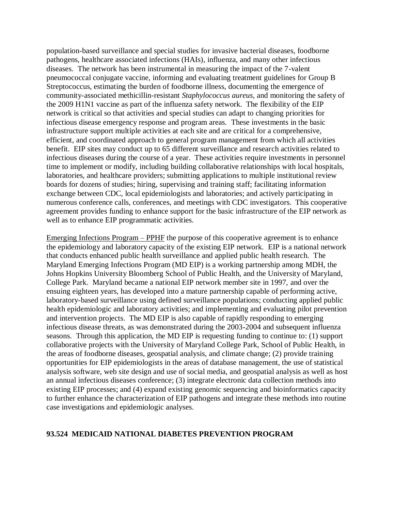population-based surveillance and special studies for invasive bacterial diseases, foodborne pathogens, healthcare associated infections (HAIs), influenza, and many other infectious diseases. The network has been instrumental in measuring the impact of the 7-valent pneumococcal conjugate vaccine, informing and evaluating treatment guidelines for Group B Streptococcus, estimating the burden of foodborne illness, documenting the emergence of community-associated methicillin-resistant *Staphylococcus aureus*, and monitoring the safety of the 2009 H1N1 vaccine as part of the influenza safety network. The flexibility of the EIP network is critical so that activities and special studies can adapt to changing priorities for infectious disease emergency response and program areas. These investments in the basic infrastructure support multiple activities at each site and are critical for a comprehensive, efficient, and coordinated approach to general program management from which all activities benefit. EIP sites may conduct up to 65 different surveillance and research activities related to infectious diseases during the course of a year. These activities require investments in personnel time to implement or modify, including building collaborative relationships with local hospitals, laboratories, and healthcare providers; submitting applications to multiple institutional review boards for dozens of studies; hiring, supervising and training staff; facilitating information exchange between CDC, local epidemiologists and laboratories; and actively participating in numerous conference calls, conferences, and meetings with CDC investigators. This cooperative agreement provides funding to enhance support for the basic infrastructure of the EIP network as well as to enhance EIP programmatic activities.

Emerging Infections Program – PPHF the purpose of this cooperative agreement is to enhance the epidemiology and laboratory capacity of the existing EIP network. EIP is a national network that conducts enhanced public health surveillance and applied public health research. The Maryland Emerging Infections Program (MD EIP) is a working partnership among MDH, the Johns Hopkins University Bloomberg School of Public Health, and the University of Maryland, College Park. Maryland became a national EIP network member site in 1997, and over the ensuing eighteen years, has developed into a mature partnership capable of performing active, laboratory-based surveillance using defined surveillance populations; conducting applied public health epidemiologic and laboratory activities; and implementing and evaluating pilot prevention and intervention projects. The MD EIP is also capable of rapidly responding to emerging infectious disease threats, as was demonstrated during the 2003-2004 and subsequent influenza seasons. Through this application, the MD EIP is requesting funding to continue to: (1) support collaborative projects with the University of Maryland College Park, School of Public Health, in the areas of foodborne diseases, geospatial analysis, and climate change; (2) provide training opportunities for EIP epidemiologists in the areas of database management, the use of statistical analysis software, web site design and use of social media, and geospatial analysis as well as host an annual infectious diseases conference; (3) integrate electronic data collection methods into existing EIP processes; and (4) expand existing genomic sequencing and bioinformatics capacity to further enhance the characterization of EIP pathogens and integrate these methods into routine case investigations and epidemiologic analyses.

#### **93.524 MEDICAID NATIONAL DIABETES PREVENTION PROGRAM**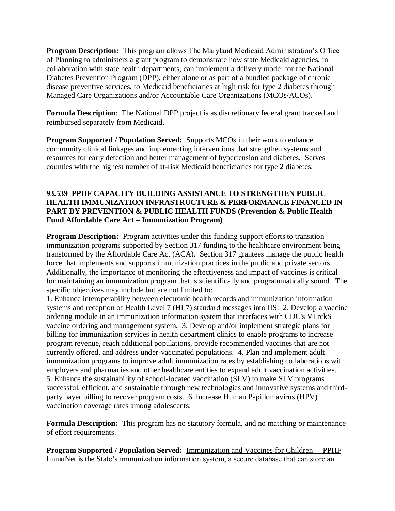**Program Description:** This program allows The Maryland Medicaid Administration's Office of Planning to administers a grant program to demonstrate how state Medicaid agencies, in collaboration with state health departments, can implement a delivery model for the National Diabetes Prevention Program (DPP), either alone or as part of a bundled package of chronic disease preventive services, to Medicaid beneficiaries at high risk for type 2 diabetes through Managed Care Organizations and/or Accountable Care Organizations (MCOs/ACOs).

**Formula Description**: The National DPP project is as discretionary federal grant tracked and reimbursed separately from Medicaid.

**Program Supported / Population Served:** Supports MCOs in their work to enhance community clinical linkages and implementing interventions that strengthen systems and resources for early detection and better management of hypertension and diabetes. Serves counties with the highest number of at-risk Medicaid beneficiaries for type 2 diabetes.

#### **93.539 PPHF CAPACITY BUILDING ASSISTANCE TO STRENGTHEN PUBLIC HEALTH IMMUNIZATION INFRASTRUCTURE & PERFORMANCE FINANCED IN PART BY PREVENTION & PUBLIC HEALTH FUNDS (Prevention & Public Health Fund Affordable Care Act – Immunization Program)**

**Program Description:** Program activities under this funding support efforts to transition immunization programs supported by Section 317 funding to the healthcare environment being transformed by the Affordable Care Act (ACA). Section 317 grantees manage the public health force that implements and supports immunization practices in the public and private sectors. Additionally, the importance of monitoring the effectiveness and impact of vaccines is critical for maintaining an immunization program that is scientifically and programmatically sound. The specific objectives may include but are not limited to:

1. Enhance interoperability between electronic health records and immunization information systems and reception of Health Level 7 (HL7) standard messages into IIS. 2. Develop a vaccine ordering module in an immunization information system that interfaces with CDC's VTrckS vaccine ordering and management system. 3. Develop and/or implement strategic plans for billing for immunization services in health department clinics to enable programs to increase program revenue, reach additional populations, provide recommended vaccines that are not currently offered, and address under-vaccinated populations. 4. Plan and implement adult immunization programs to improve adult immunization rates by establishing collaborations with employers and pharmacies and other healthcare entities to expand adult vaccination activities. 5. Enhance the sustainability of school-located vaccination (SLV) to make SLV programs successful, efficient, and sustainable through new technologies and innovative systems and thirdparty payer billing to recover program costs. 6. Increase Human Papillomavirus (HPV) vaccination coverage rates among adolescents.

**Formula Description:** This program has no statutory formula, and no matching or maintenance of effort requirements.

**Program Supported / Population Served:** Immunization and Vaccines for Children – PPHF ImmuNet is the State's immunization information system, a secure database that can store an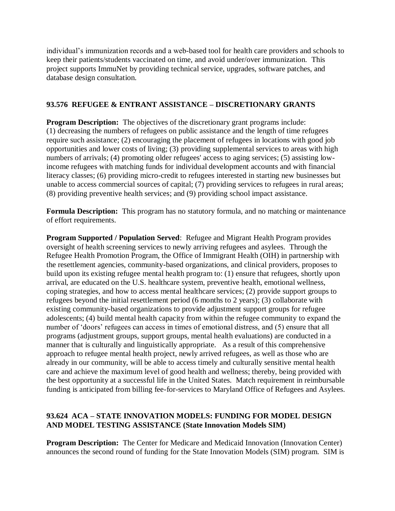individual's immunization records and a web-based tool for health care providers and schools to keep their patients/students vaccinated on time, and avoid under/over immunization. This project supports ImmuNet by providing technical service, upgrades, software patches, and database design consultation.

# **93.576 REFUGEE & ENTRANT ASSISTANCE – DISCRETIONARY GRANTS**

**Program Description:** The objectives of the discretionary grant programs include: (1) decreasing the numbers of refugees on public assistance and the length of time refugees require such assistance; (2) encouraging the placement of refugees in locations with good job opportunities and lower costs of living; (3) providing supplemental services to areas with high numbers of arrivals; (4) promoting older refugees' access to aging services; (5) assisting lowincome refugees with matching funds for individual development accounts and with financial literacy classes; (6) providing micro-credit to refugees interested in starting new businesses but unable to access commercial sources of capital; (7) providing services to refugees in rural areas; (8) providing preventive health services; and (9) providing school impact assistance.

**Formula Description:** This program has no statutory formula, and no matching or maintenance of effort requirements.

**Program Supported / Population Served**: Refugee and Migrant Health Program provides oversight of health screening services to newly arriving refugees and asylees. Through the Refugee Health Promotion Program, the Office of Immigrant Health (OIH) in partnership with the resettlement agencies, community-based organizations, and clinical providers, proposes to build upon its existing refugee mental health program to: (1) ensure that refugees, shortly upon arrival, are educated on the U.S. healthcare system, preventive health, emotional wellness, coping strategies, and how to access mental healthcare services; (2) provide support groups to refugees beyond the initial resettlement period (6 months to 2 years); (3) collaborate with existing community-based organizations to provide adjustment support groups for refugee adolescents; (4) build mental health capacity from within the refugee community to expand the number of 'doors' refugees can access in times of emotional distress, and (5) ensure that all programs (adjustment groups, support groups, mental health evaluations) are conducted in a manner that is culturally and linguistically appropriate. As a result of this comprehensive approach to refugee mental health project, newly arrived refugees, as well as those who are already in our community, will be able to access timely and culturally sensitive mental health care and achieve the maximum level of good health and wellness; thereby, being provided with the best opportunity at a successful life in the United States. Match requirement in reimbursable funding is anticipated from billing fee-for-services to Maryland Office of Refugees and Asylees.

# **93.624 ACA – STATE INNOVATION MODELS: FUNDING FOR MODEL DESIGN AND MODEL TESTING ASSISTANCE (State Innovation Models SIM)**

**Program Description:** The Center for Medicare and Medicaid Innovation (Innovation Center) announces the second round of funding for the State Innovation Models (SIM) program. SIM is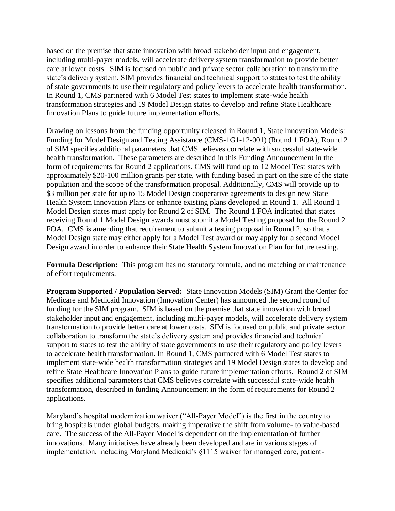based on the premise that state innovation with broad stakeholder input and engagement, including multi-payer models, will accelerate delivery system transformation to provide better care at lower costs. SIM is focused on public and private sector collaboration to transform the state's delivery system. SIM provides financial and technical support to states to test the ability of state governments to use their regulatory and policy levers to accelerate health transformation. In Round 1, CMS partnered with 6 Model Test states to implement state-wide health transformation strategies and 19 Model Design states to develop and refine State Healthcare Innovation Plans to guide future implementation efforts.

Drawing on lessons from the funding opportunity released in Round 1, State Innovation Models: Funding for Model Design and Testing Assistance (CMS-1G1-12-001) (Round 1 FOA), Round 2 of SIM specifies additional parameters that CMS believes correlate with successful state-wide health transformation. These parameters are described in this Funding Announcement in the form of requirements for Round 2 applications. CMS will fund up to 12 Model Test states with approximately \$20-100 million grants per state, with funding based in part on the size of the state population and the scope of the transformation proposal. Additionally, CMS will provide up to \$3 million per state for up to 15 Model Design cooperative agreements to design new State Health System Innovation Plans or enhance existing plans developed in Round 1. All Round 1 Model Design states must apply for Round 2 of SIM. The Round 1 FOA indicated that states receiving Round 1 Model Design awards must submit a Model Testing proposal for the Round 2 FOA. CMS is amending that requirement to submit a testing proposal in Round 2, so that a Model Design state may either apply for a Model Test award or may apply for a second Model Design award in order to enhance their State Health System Innovation Plan for future testing.

**Formula Description:** This program has no statutory formula, and no matching or maintenance of effort requirements.

**Program Supported / Population Served:** State Innovation Models (SIM) Grant the Center for Medicare and Medicaid Innovation (Innovation Center) has announced the second round of funding for the SIM program. SIM is based on the premise that state innovation with broad stakeholder input and engagement, including multi-payer models, will accelerate delivery system transformation to provide better care at lower costs. SIM is focused on public and private sector collaboration to transform the state's delivery system and provides financial and technical support to states to test the ability of state governments to use their regulatory and policy levers to accelerate health transformation. In Round 1, CMS partnered with 6 Model Test states to implement state-wide health transformation strategies and 19 Model Design states to develop and refine State Healthcare Innovation Plans to guide future implementation efforts. Round 2 of SIM specifies additional parameters that CMS believes correlate with successful state-wide health transformation, described in funding Announcement in the form of requirements for Round 2 applications.

Maryland's hospital modernization waiver ("All-Payer Model") is the first in the country to bring hospitals under global budgets, making imperative the shift from volume- to value-based care. The success of the All-Payer Model is dependent on the implementation of further innovations. Many initiatives have already been developed and are in various stages of implementation, including Maryland Medicaid's §1115 waiver for managed care, patient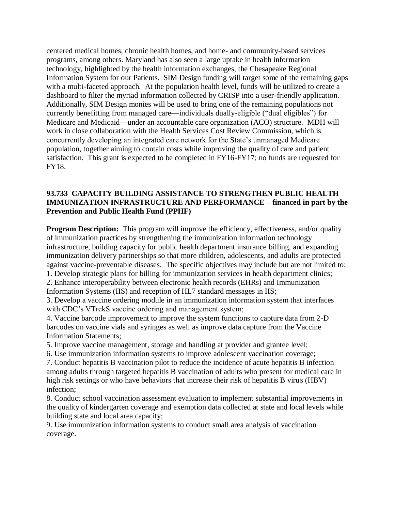centered medical homes, chronic health homes, and home- and community-based services programs, among others. Maryland has also seen a large uptake in health information technology, highlighted by the health information exchanges, the Chesapeake Regional Information System for our Patients. SIM Design funding will target some of the remaining gaps with a multi-faceted approach. At the population health level, funds will be utilized to create a dashboard to filter the myriad information collected by CRISP into a user-friendly application. Additionally, SIM Design monies will be used to bring one of the remaining populations not currently benefitting from managed care—individuals dually-eligible ("dual eligibles") for Medicare and Medicaid—under an accountable care organization (ACO) structure. MDH will work in close collaboration with the Health Services Cost Review Commission, which is concurrently developing an integrated care network for the State's unmanaged Medicare population, together aiming to contain costs while improving the quality of care and patient satisfaction. This grant is expected to be completed in FY16-FY17; no funds are requested for FY18.

# **93.733 CAPACITY BUILDING ASSISTANCE TO STRENGTHEN PUBLIC HEALTH IMMUNIZATION INFRASTRUCTURE AND PERFORMANCE – financed in part by the Prevention and Public Health Fund (PPHF)**

**Program Description:** This program will improve the efficiency, effectiveness, and/or quality of immunization practices by strengthening the immunization information technology infrastructure, building capacity for public health department insurance billing, and expanding immunization delivery partnerships so that more children, adolescents, and adults are protected against vaccine-preventable diseases. The specific objectives may include but are not limited to: 1. Develop strategic plans for billing for immunization services in health department clinics;

2. Enhance interoperability between electronic health records (EHRs) and Immunization Information Systems (IIS) and reception of HL7 standard messages in IIS;

3. Develop a vaccine ordering module in an immunization information system that interfaces with CDC's VTrckS vaccine ordering and management system;

4. Vaccine barcode improvement to improve the system functions to capture data from 2-D barcodes on vaccine vials and syringes as well as improve data capture from the Vaccine Information Statements;

5. Improve vaccine management, storage and handling at provider and grantee level;

6. Use immunization information systems to improve adolescent vaccination coverage;

7. Conduct hepatitis B vaccination pilot to reduce the incidence of acute hepatitis B infection among adults through targeted hepatitis B vaccination of adults who present for medical care in high risk settings or who have behaviors that increase their risk of hepatitis B virus (HBV) infection;

8. Conduct school vaccination assessment evaluation to implement substantial improvements in the quality of kindergarten coverage and exemption data collected at state and local levels while building state and local area capacity;

9. Use immunization information systems to conduct small area analysis of vaccination coverage.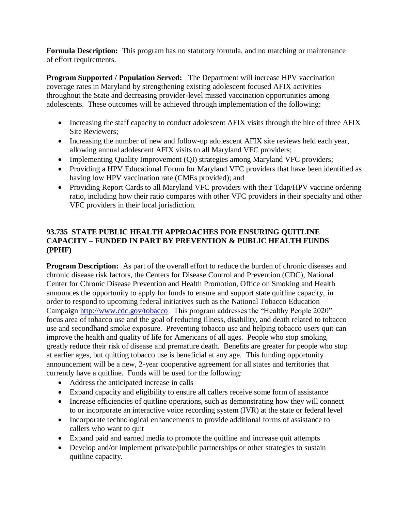**Formula Description:** This program has no statutory formula, and no matching or maintenance of effort requirements.

**Program Supported / Population Served:** The Department will increase HPV vaccination coverage rates in Maryland by strengthening existing adolescent focused AFIX activities throughout the State and decreasing provider-level missed vaccination opportunities among adolescents. These outcomes will be achieved through implementation of the following:

- Increasing the staff capacity to conduct adolescent AFIX visits through the hire of three AFIX Site Reviewers;
- Increasing the number of new and follow-up adolescent AFIX site reviews held each year, allowing annual adolescent AFIX visits to all Maryland VFC providers;
- Implementing Quality Improvement (QI) strategies among Maryland VFC providers;
- Providing a HPV Educational Forum for Maryland VFC providers that have been identified as having low HPV vaccination rate (CMEs provided); and
- Providing Report Cards to all Maryland VFC providers with their Tdap/HPV vaccine ordering ratio, including how their ratio compares with other VFC providers in their specialty and other VFC providers in their local jurisdiction.

# **93.735 STATE PUBLIC HEALTH APPROACHES FOR ENSURING QUITLINE CAPACITY – FUNDED IN PART BY PREVENTION & PUBLIC HEALTH FUNDS (PPHF)**

**Program Description:** As part of the overall effort to reduce the burden of chronic diseases and chronic disease risk factors, the Centers for Disease Control and Prevention (CDC), National Center for Chronic Disease Prevention and Health Promotion, Office on Smoking and Health announces the opportunity to apply for funds to ensure and support state quitline capacity, in order to respond to upcoming federal initiatives such as the National Tobacco Education Campaign<http://www.cdc.gov/tobacco>This program addresses the "Healthy People 2020" focus area of tobacco use and the goal of reducing illness, disability, and death related to tobacco use and secondhand smoke exposure. Preventing tobacco use and helping tobacco users quit can improve the health and quality of life for Americans of all ages. People who stop smoking greatly reduce their risk of disease and premature death. Benefits are greater for people who stop at earlier ages, but quitting tobacco use is beneficial at any age. This funding opportunity announcement will be a new, 2-year cooperative agreement for all states and territories that currently have a quitline. Funds will be used for the following:

- Address the anticipated increase in calls
- Expand capacity and eligibility to ensure all callers receive some form of assistance
- Increase efficiencies of quitline operations, such as demonstrating how they will connect to or incorporate an interactive voice recording system (IVR) at the state or federal level
- Incorporate technological enhancements to provide additional forms of assistance to callers who want to quit
- Expand paid and earned media to promote the quitline and increase quit attempts
- Develop and/or implement private/public partnerships or other strategies to sustain quitline capacity.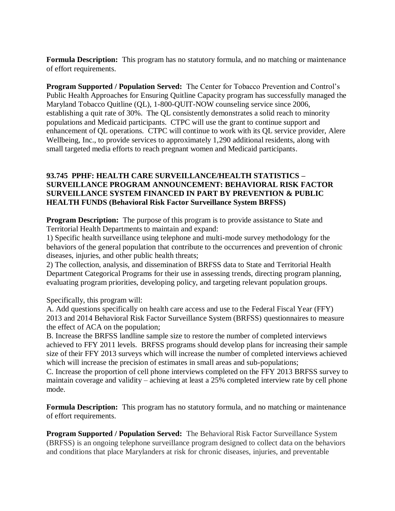**Formula Description:** This program has no statutory formula, and no matching or maintenance of effort requirements.

**Program Supported / Population Served:** The Center for Tobacco Prevention and Control's Public Health Approaches for Ensuring Quitline Capacity program has successfully managed the Maryland Tobacco Quitline (QL), 1-800-QUIT-NOW counseling service since 2006, establishing a quit rate of 30%. The QL consistently demonstrates a solid reach to minority populations and Medicaid participants. CTPC will use the grant to continue support and enhancement of QL operations. CTPC will continue to work with its QL service provider, Alere Wellbeing, Inc., to provide services to approximately 1,290 additional residents, along with small targeted media efforts to reach pregnant women and Medicaid participants.

#### **93.745 PPHF: HEALTH CARE SURVEILLANCE/HEALTH STATISTICS – SURVEILLANCE PROGRAM ANNOUNCEMENT: BEHAVIORAL RISK FACTOR SURVEILLANCE SYSTEM FINANCED IN PART BY PREVENTION & PUBLIC HEALTH FUNDS (Behavioral Risk Factor Surveillance System BRFSS)**

**Program Description:** The purpose of this program is to provide assistance to State and Territorial Health Departments to maintain and expand:

1) Specific health surveillance using telephone and multi-mode survey methodology for the behaviors of the general population that contribute to the occurrences and prevention of chronic diseases, injuries, and other public health threats;

2) The collection, analysis, and dissemination of BRFSS data to State and Territorial Health Department Categorical Programs for their use in assessing trends, directing program planning, evaluating program priorities, developing policy, and targeting relevant population groups.

Specifically, this program will:

A. Add questions specifically on health care access and use to the Federal Fiscal Year (FFY) 2013 and 2014 Behavioral Risk Factor Surveillance System (BRFSS) questionnaires to measure the effect of ACA on the population;

B. Increase the BRFSS landline sample size to restore the number of completed interviews achieved to FFY 2011 levels. BRFSS programs should develop plans for increasing their sample size of their FFY 2013 surveys which will increase the number of completed interviews achieved which will increase the precision of estimates in small areas and sub-populations;

C. Increase the proportion of cell phone interviews completed on the FFY 2013 BRFSS survey to maintain coverage and validity – achieving at least a 25% completed interview rate by cell phone mode.

**Formula Description:** This program has no statutory formula, and no matching or maintenance of effort requirements.

**Program Supported / Population Served:** The Behavioral Risk Factor Surveillance System (BRFSS) is an ongoing telephone surveillance program designed to collect data on the behaviors and conditions that place Marylanders at risk for chronic diseases, injuries, and preventable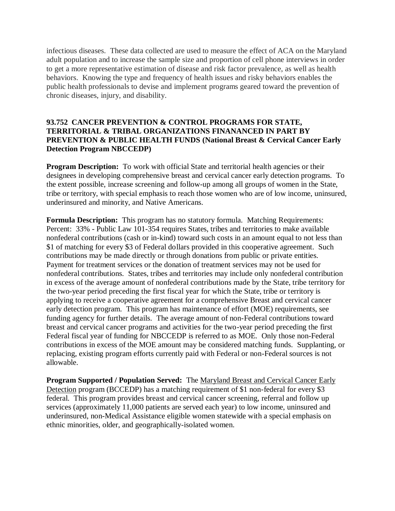infectious diseases. These data collected are used to measure the effect of ACA on the Maryland adult population and to increase the sample size and proportion of cell phone interviews in order to get a more representative estimation of disease and risk factor prevalence, as well as health behaviors. Knowing the type and frequency of health issues and risky behaviors enables the public health professionals to devise and implement programs geared toward the prevention of chronic diseases, injury, and disability.

# **93.752 CANCER PREVENTION & CONTROL PROGRAMS FOR STATE, TERRITORIAL & TRIBAL ORGANIZATIONS FINANANCED IN PART BY PREVENTION & PUBLIC HEALTH FUNDS (National Breast & Cervical Cancer Early Detection Program NBCCEDP)**

**Program Description:** To work with official State and territorial health agencies or their designees in developing comprehensive breast and cervical cancer early detection programs. To the extent possible, increase screening and follow-up among all groups of women in the State, tribe or territory, with special emphasis to reach those women who are of low income, uninsured, underinsured and minority, and Native Americans.

**Formula Description:** This program has no statutory formula. Matching Requirements: Percent: 33% - Public Law 101-354 requires States, tribes and territories to make available nonfederal contributions (cash or in-kind) toward such costs in an amount equal to not less than \$1 of matching for every \$3 of Federal dollars provided in this cooperative agreement. Such contributions may be made directly or through donations from public or private entities. Payment for treatment services or the donation of treatment services may not be used for nonfederal contributions. States, tribes and territories may include only nonfederal contribution in excess of the average amount of nonfederal contributions made by the State, tribe territory for the two-year period preceding the first fiscal year for which the State, tribe or territory is applying to receive a cooperative agreement for a comprehensive Breast and cervical cancer early detection program. This program has maintenance of effort (MOE) requirements, see funding agency for further details. The average amount of non-Federal contributions toward breast and cervical cancer programs and activities for the two-year period preceding the first Federal fiscal year of funding for NBCCEDP is referred to as MOE. Only those non-Federal contributions in excess of the MOE amount may be considered matching funds. Supplanting, or replacing, existing program efforts currently paid with Federal or non-Federal sources is not allowable.

**Program Supported / Population Served:** The Maryland Breast and Cervical Cancer Early Detection program (BCCEDP) has a matching requirement of \$1 non-federal for every \$3 federal. This program provides breast and cervical cancer screening, referral and follow up services (approximately 11,000 patients are served each year) to low income, uninsured and underinsured, non-Medical Assistance eligible women statewide with a special emphasis on ethnic minorities, older, and geographically-isolated women.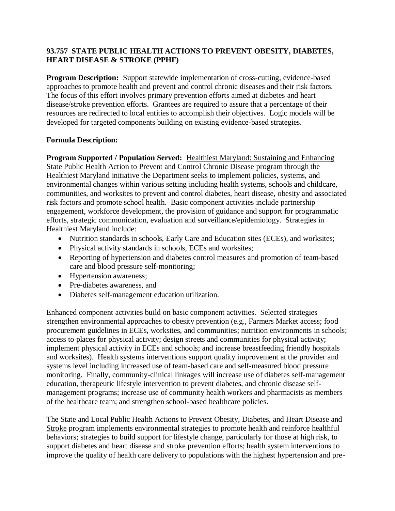# **93.757 STATE PUBLIC HEALTH ACTIONS TO PREVENT OBESITY, DIABETES, HEART DISEASE & STROKE (PPHF)**

**Program Description:** Support statewide implementation of cross-cutting, evidence-based approaches to promote health and prevent and control chronic diseases and their risk factors. The focus of this effort involves primary prevention efforts aimed at diabetes and heart disease/stroke prevention efforts. Grantees are required to assure that a percentage of their resources are redirected to local entities to accomplish their objectives. Logic models will be developed for targeted components building on existing evidence-based strategies.

# **Formula Description:**

**Program Supported / Population Served:** Healthiest Maryland: Sustaining and Enhancing State Public Health Action to Prevent and Control Chronic Disease program through the Healthiest Maryland initiative the Department seeks to implement policies, systems, and environmental changes within various setting including health systems, schools and childcare, communities, and worksites to prevent and control diabetes, heart disease, obesity and associated risk factors and promote school health. Basic component activities include partnership engagement, workforce development, the provision of guidance and support for programmatic efforts, strategic communication, evaluation and surveillance/epidemiology. Strategies in Healthiest Maryland include:

- Nutrition standards in schools, Early Care and Education sites (ECEs), and worksites;
- Physical activity standards in schools, ECEs and worksites;
- Reporting of hypertension and diabetes control measures and promotion of team-based care and blood pressure self-monitoring;
- Hypertension awareness;
- Pre-diabetes awareness, and
- Diabetes self-management education utilization.

Enhanced component activities build on basic component activities. Selected strategies strengthen environmental approaches to obesity prevention (e.g., Farmers Market access; food procurement guidelines in ECEs, worksites, and communities; nutrition environments in schools; access to places for physical activity; design streets and communities for physical activity; implement physical activity in ECEs and schools; and increase breastfeeding friendly hospitals and worksites). Health systems interventions support quality improvement at the provider and systems level including increased use of team-based care and self-measured blood pressure monitoring. Finally, community-clinical linkages will increase use of diabetes self-management education, therapeutic lifestyle intervention to prevent diabetes, and chronic disease selfmanagement programs; increase use of community health workers and pharmacists as members of the healthcare team; and strengthen school-based healthcare policies.

The State and Local Public Health Actions to Prevent Obesity, Diabetes, and Heart Disease and Stroke program implements environmental strategies to promote health and reinforce healthful behaviors; strategies to build support for lifestyle change, particularly for those at high risk, to support diabetes and heart disease and stroke prevention efforts; health system interventions to improve the quality of health care delivery to populations with the highest hypertension and pre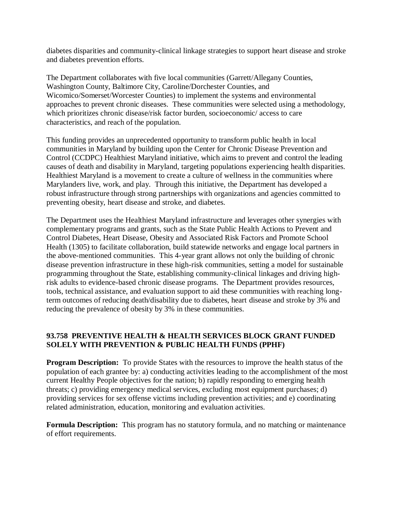diabetes disparities and community-clinical linkage strategies to support heart disease and stroke and diabetes prevention efforts.

The Department collaborates with five local communities (Garrett/Allegany Counties, Washington County, Baltimore City, Caroline/Dorchester Counties, and Wicomico/Somerset/Worcester Counties) to implement the systems and environmental approaches to prevent chronic diseases. These communities were selected using a methodology, which prioritizes chronic disease/risk factor burden, socioeconomic/ access to care characteristics, and reach of the population.

This funding provides an unprecedented opportunity to transform public health in local communities in Maryland by building upon the Center for Chronic Disease Prevention and Control (CCDPC) Healthiest Maryland initiative, which aims to prevent and control the leading causes of death and disability in Maryland, targeting populations experiencing health disparities. Healthiest Maryland is a movement to create a culture of wellness in the communities where Marylanders live, work, and play. Through this initiative, the Department has developed a robust infrastructure through strong partnerships with organizations and agencies committed to preventing obesity, heart disease and stroke, and diabetes.

The Department uses the Healthiest Maryland infrastructure and leverages other synergies with complementary programs and grants, such as the State Public Health Actions to Prevent and Control Diabetes, Heart Disease, Obesity and Associated Risk Factors and Promote School Health (1305) to facilitate collaboration, build statewide networks and engage local partners in the above-mentioned communities. This 4-year grant allows not only the building of chronic disease prevention infrastructure in these high-risk communities, setting a model for sustainable programming throughout the State, establishing community-clinical linkages and driving highrisk adults to evidence-based chronic disease programs. The Department provides resources, tools, technical assistance, and evaluation support to aid these communities with reaching longterm outcomes of reducing death/disability due to diabetes, heart disease and stroke by 3% and reducing the prevalence of obesity by 3% in these communities.

# **93.758 PREVENTIVE HEALTH & HEALTH SERVICES BLOCK GRANT FUNDED SOLELY WITH PREVENTION & PUBLIC HEALTH FUNDS (PPHF)**

**Program Description:** To provide States with the resources to improve the health status of the population of each grantee by: a) conducting activities leading to the accomplishment of the most current Healthy People objectives for the nation; b) rapidly responding to emerging health threats; c) providing emergency medical services, excluding most equipment purchases; d) providing services for sex offense victims including prevention activities; and e) coordinating related administration, education, monitoring and evaluation activities.

**Formula Description:** This program has no statutory formula, and no matching or maintenance of effort requirements.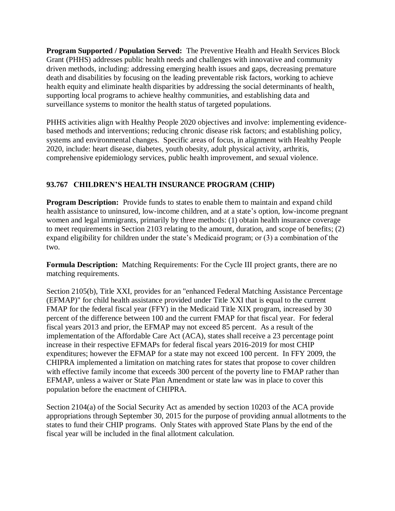**Program Supported / Population Served:** The Preventive Health and Health Services Block Grant (PHHS) addresses public health needs and challenges with innovative and community driven methods, including: addressing emerging health issues and gaps, decreasing premature death and disabilities by focusing on the leading preventable risk factors, working to achieve health equity and eliminate health disparities by addressing the social determinants of health, supporting local programs to achieve healthy communities, and establishing data and surveillance systems to monitor the health status of targeted populations.

PHHS activities align with Healthy People 2020 objectives and involve: implementing evidencebased methods and interventions; reducing chronic disease risk factors; and establishing policy, systems and environmental changes. Specific areas of focus, in alignment with Healthy People 2020, include: heart disease, diabetes, youth obesity, adult physical activity, arthritis, comprehensive epidemiology services, public health improvement, and sexual violence.

# **93.767 CHILDREN'S HEALTH INSURANCE PROGRAM (CHIP)**

**Program Description:** Provide funds to states to enable them to maintain and expand child health assistance to uninsured, low-income children, and at a state's option, low-income pregnant women and legal immigrants, primarily by three methods: (1) obtain health insurance coverage to meet requirements in Section 2103 relating to the amount, duration, and scope of benefits; (2) expand eligibility for children under the state's Medicaid program; or (3) a combination of the two.

**Formula Description:** Matching Requirements: For the Cycle III project grants, there are no matching requirements.

Section 2105(b), Title XXI, provides for an "enhanced Federal Matching Assistance Percentage (EFMAP)" for child health assistance provided under Title XXI that is equal to the current FMAP for the federal fiscal year (FFY) in the Medicaid Title XIX program, increased by 30 percent of the difference between 100 and the current FMAP for that fiscal year. For federal fiscal years 2013 and prior, the EFMAP may not exceed 85 percent. As a result of the implementation of the Affordable Care Act (ACA), states shall receive a 23 percentage point increase in their respective EFMAPs for federal fiscal years 2016-2019 for most CHIP expenditures; however the EFMAP for a state may not exceed 100 percent. In FFY 2009, the CHIPRA implemented a limitation on matching rates for states that propose to cover children with effective family income that exceeds 300 percent of the poverty line to FMAP rather than EFMAP, unless a waiver or State Plan Amendment or state law was in place to cover this population before the enactment of CHIPRA.

Section 2104(a) of the Social Security Act as amended by section 10203 of the ACA provide appropriations through September 30, 2015 for the purpose of providing annual allotments to the states to fund their CHIP programs. Only States with approved State Plans by the end of the fiscal year will be included in the final allotment calculation.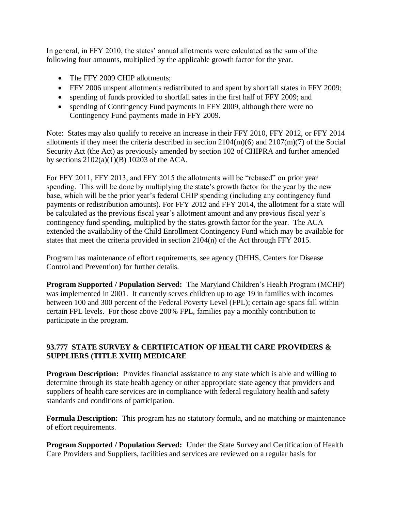In general, in FFY 2010, the states' annual allotments were calculated as the sum of the following four amounts, multiplied by the applicable growth factor for the year.

- The FFY 2009 CHIP allotments;
- FFY 2006 unspent allotments redistributed to and spent by shortfall states in FFY 2009;
- spending of funds provided to shortfall sates in the first half of FFY 2009; and
- spending of Contingency Fund payments in FFY 2009, although there were no Contingency Fund payments made in FFY 2009.

Note: States may also qualify to receive an increase in their FFY 2010, FFY 2012, or FFY 2014 allotments if they meet the criteria described in section 2104(m)(6) and 2107(m)(7) of the Social Security Act (the Act) as previously amended by section 102 of CHIPRA and further amended by sections 2102(a)(1)(B) 10203 of the ACA.

For FFY 2011, FFY 2013, and FFY 2015 the allotments will be "rebased" on prior year spending. This will be done by multiplying the state's growth factor for the year by the new base, which will be the prior year's federal CHIP spending (including any contingency fund payments or redistribution amounts). For FFY 2012 and FFY 2014, the allotment for a state will be calculated as the previous fiscal year's allotment amount and any previous fiscal year's contingency fund spending, multiplied by the states growth factor for the year. The ACA extended the availability of the Child Enrollment Contingency Fund which may be available for states that meet the criteria provided in section 2104(n) of the Act through FFY 2015.

Program has maintenance of effort requirements, see agency (DHHS, Centers for Disease Control and Prevention) for further details.

**Program Supported / Population Served:** The Maryland Children's Health Program (MCHP) was implemented in 2001. It currently serves children up to age 19 in families with incomes between 100 and 300 percent of the Federal Poverty Level (FPL); certain age spans fall within certain FPL levels. For those above 200% FPL, families pay a monthly contribution to participate in the program.

# **93.777 STATE SURVEY & CERTIFICATION OF HEALTH CARE PROVIDERS & SUPPLIERS (TITLE XVIII) MEDICARE**

**Program Description:** Provides financial assistance to any state which is able and willing to determine through its state health agency or other appropriate state agency that providers and suppliers of health care services are in compliance with federal regulatory health and safety standards and conditions of participation.

**Formula Description:** This program has no statutory formula, and no matching or maintenance of effort requirements.

**Program Supported / Population Served:** Under the State Survey and Certification of Health Care Providers and Suppliers, facilities and services are reviewed on a regular basis for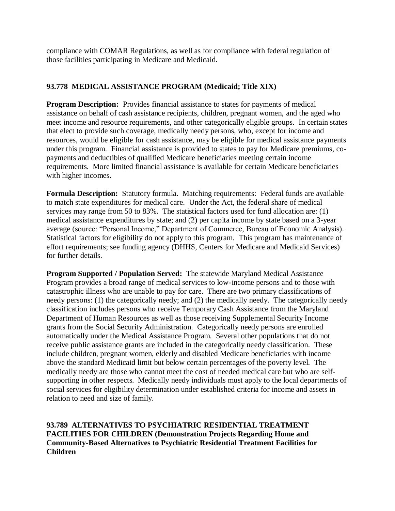compliance with COMAR Regulations, as well as for compliance with federal regulation of those facilities participating in Medicare and Medicaid.

# **93.778 MEDICAL ASSISTANCE PROGRAM (Medicaid; Title XIX)**

**Program Description:** Provides financial assistance to states for payments of medical assistance on behalf of cash assistance recipients, children, pregnant women, and the aged who meet income and resource requirements, and other categorically eligible groups. In certain states that elect to provide such coverage, medically needy persons, who, except for income and resources, would be eligible for cash assistance, may be eligible for medical assistance payments under this program. Financial assistance is provided to states to pay for Medicare premiums, copayments and deductibles of qualified Medicare beneficiaries meeting certain income requirements. More limited financial assistance is available for certain Medicare beneficiaries with higher incomes.

**Formula Description:** Statutory formula. Matching requirements: Federal funds are available to match state expenditures for medical care. Under the Act, the federal share of medical services may range from 50 to 83%. The statistical factors used for fund allocation are: (1) medical assistance expenditures by state; and (2) per capita income by state based on a 3-year average (source: "Personal Income," Department of Commerce, Bureau of Economic Analysis). Statistical factors for eligibility do not apply to this program. This program has maintenance of effort requirements; see funding agency (DHHS, Centers for Medicare and Medicaid Services) for further details.

**Program Supported / Population Served:** The statewide Maryland Medical Assistance Program provides a broad range of medical services to low-income persons and to those with catastrophic illness who are unable to pay for care. There are two primary classifications of needy persons: (1) the categorically needy; and (2) the medically needy. The categorically needy classification includes persons who receive Temporary Cash Assistance from the Maryland Department of Human Resources as well as those receiving Supplemental Security Income grants from the Social Security Administration. Categorically needy persons are enrolled automatically under the Medical Assistance Program. Several other populations that do not receive public assistance grants are included in the categorically needy classification. These include children, pregnant women, elderly and disabled Medicare beneficiaries with income above the standard Medicaid limit but below certain percentages of the poverty level. The medically needy are those who cannot meet the cost of needed medical care but who are selfsupporting in other respects. Medically needy individuals must apply to the local departments of social services for eligibility determination under established criteria for income and assets in relation to need and size of family.

**93.789 ALTERNATIVES TO PSYCHIATRIC RESIDENTIAL TREATMENT FACILITIES FOR CHILDREN (Demonstration Projects Regarding Home and Community-Based Alternatives to Psychiatric Residential Treatment Facilities for Children**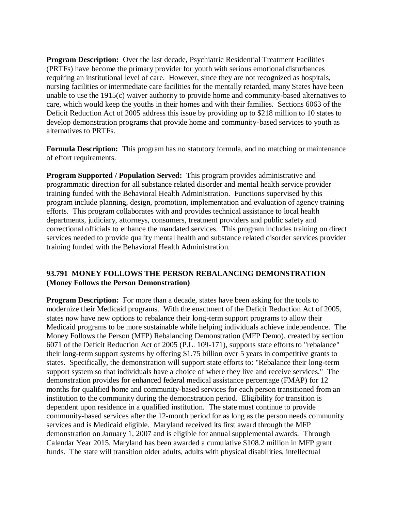**Program Description:** Over the last decade, Psychiatric Residential Treatment Facilities (PRTFs) have become the primary provider for youth with serious emotional disturbances requiring an institutional level of care. However, since they are not recognized as hospitals, nursing facilities or intermediate care facilities for the mentally retarded, many States have been unable to use the 1915(c) waiver authority to provide home and community-based alternatives to care, which would keep the youths in their homes and with their families. Sections 6063 of the Deficit Reduction Act of 2005 address this issue by providing up to \$218 million to 10 states to develop demonstration programs that provide home and community-based services to youth as alternatives to PRTFs.

**Formula Description:** This program has no statutory formula, and no matching or maintenance of effort requirements.

**Program Supported / Population Served:** This program provides administrative and programmatic direction for all substance related disorder and mental health service provider training funded with the Behavioral Health Administration. Functions supervised by this program include planning, design, promotion, implementation and evaluation of agency training efforts. This program collaborates with and provides technical assistance to local health departments, judiciary, attorneys, consumers, treatment providers and public safety and correctional officials to enhance the mandated services. This program includes training on direct services needed to provide quality mental health and substance related disorder services provider training funded with the Behavioral Health Administration.

#### **93.791 MONEY FOLLOWS THE PERSON REBALANCING DEMONSTRATION (Money Follows the Person Demonstration)**

**Program Description:** For more than a decade, states have been asking for the tools to modernize their Medicaid programs. With the enactment of the Deficit Reduction Act of 2005, states now have new options to rebalance their long-term support programs to allow their Medicaid programs to be more sustainable while helping individuals achieve independence. The Money Follows the Person (MFP) Rebalancing Demonstration (MFP Demo), created by section 6071 of the Deficit Reduction Act of 2005 (P.L. 109-171), supports state efforts to "rebalance" their long-term support systems by offering \$1.75 billion over 5 years in competitive grants to states. Specifically, the demonstration will support state efforts to: "Rebalance their long-term support system so that individuals have a choice of where they live and receive services." The demonstration provides for enhanced federal medical assistance percentage (FMAP) for 12 months for qualified home and community-based services for each person transitioned from an institution to the community during the demonstration period. Eligibility for transition is dependent upon residence in a qualified institution. The state must continue to provide community-based services after the 12-month period for as long as the person needs community services and is Medicaid eligible. Maryland received its first award through the MFP demonstration on January 1, 2007 and is eligible for annual supplemental awards. Through Calendar Year 2015, Maryland has been awarded a cumulative \$108.2 million in MFP grant funds. The state will transition older adults, adults with physical disabilities, intellectual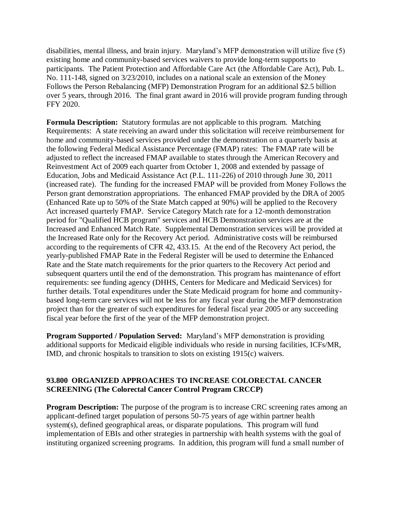disabilities, mental illness, and brain injury. Maryland's MFP demonstration will utilize five (5) existing home and community-based services waivers to provide long-term supports to participants. The Patient Protection and Affordable Care Act (the Affordable Care Act), Pub. L. No. 111-148, signed on 3/23/2010, includes on a national scale an extension of the Money Follows the Person Rebalancing (MFP) Demonstration Program for an additional \$2.5 billion over 5 years, through 2016. The final grant award in 2016 will provide program funding through FFY 2020.

**Formula Description:** Statutory formulas are not applicable to this program. Matching Requirements: A state receiving an award under this solicitation will receive reimbursement for home and community-based services provided under the demonstration on a quarterly basis at the following Federal Medical Assistance Percentage (FMAP) rates: The FMAP rate will be adjusted to reflect the increased FMAP available to states through the American Recovery and Reinvestment Act of 2009 each quarter from October 1, 2008 and extended by passage of Education, Jobs and Medicaid Assistance Act (P.L. 111-226) of 2010 through June 30, 2011 (increased rate). The funding for the increased FMAP will be provided from Money Follows the Person grant demonstration appropriations. The enhanced FMAP provided by the DRA of 2005 (Enhanced Rate up to 50% of the State Match capped at 90%) will be applied to the Recovery Act increased quarterly FMAP. Service Category Match rate for a 12-month demonstration period for "Qualified HCB program" services and HCB Demonstration services are at the Increased and Enhanced Match Rate. Supplemental Demonstration services will be provided at the Increased Rate only for the Recovery Act period. Administrative costs will be reimbursed according to the requirements of CFR 42, 433.15. At the end of the Recovery Act period, the yearly-published FMAP Rate in the Federal Register will be used to determine the Enhanced Rate and the State match requirements for the prior quarters to the Recovery Act period and subsequent quarters until the end of the demonstration. This program has maintenance of effort requirements: see funding agency (DHHS, Centers for Medicare and Medicaid Services) for further details. Total expenditures under the State Medicaid program for home and communitybased long-term care services will not be less for any fiscal year during the MFP demonstration project than for the greater of such expenditures for federal fiscal year 2005 or any succeeding fiscal year before the first of the year of the MFP demonstration project.

**Program Supported / Population Served:** Maryland's MFP demonstration is providing additional supports for Medicaid eligible individuals who reside in nursing facilities, ICFs/MR, IMD, and chronic hospitals to transition to slots on existing 1915(c) waivers.

# **93.800 ORGANIZED APPROACHES TO INCREASE COLORECTAL CANCER SCREENING (The Colorectal Cancer Control Program CRCCP)**

**Program Description:** The purpose of the program is to increase CRC screening rates among an applicant-defined target population of persons 50-75 years of age within partner health system(s), defined geographical areas, or disparate populations. This program will fund implementation of EBIs and other strategies in partnership with health systems with the goal of instituting organized screening programs. In addition, this program will fund a small number of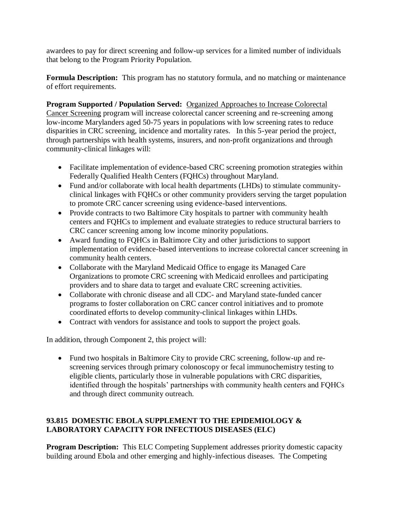awardees to pay for direct screening and follow-up services for a limited number of individuals that belong to the Program Priority Population.

**Formula Description:** This program has no statutory formula, and no matching or maintenance of effort requirements.

**Program Supported / Population Served:** Organized Approaches to Increase Colorectal Cancer Screening program will increase colorectal cancer screening and re-screening among low-income Marylanders aged 50-75 years in populations with low screening rates to reduce disparities in CRC screening, incidence and mortality rates. In this 5-year period the project, through partnerships with health systems, insurers, and non-profit organizations and through community-clinical linkages will:

- Facilitate implementation of evidence-based CRC screening promotion strategies within Federally Qualified Health Centers (FQHCs) throughout Maryland.
- Fund and/or collaborate with local health departments (LHDs) to stimulate communityclinical linkages with FQHCs or other community providers serving the target population to promote CRC cancer screening using evidence-based interventions.
- Provide contracts to two Baltimore City hospitals to partner with community health centers and FQHCs to implement and evaluate strategies to reduce structural barriers to CRC cancer screening among low income minority populations.
- Award funding to FQHCs in Baltimore City and other jurisdictions to support implementation of evidence-based interventions to increase colorectal cancer screening in community health centers.
- Collaborate with the Maryland Medicaid Office to engage its Managed Care Organizations to promote CRC screening with Medicaid enrollees and participating providers and to share data to target and evaluate CRC screening activities.
- Collaborate with chronic disease and all CDC- and Maryland state-funded cancer programs to foster collaboration on CRC cancer control initiatives and to promote coordinated efforts to develop community-clinical linkages within LHDs.
- Contract with vendors for assistance and tools to support the project goals.

In addition, through Component 2, this project will:

 Fund two hospitals in Baltimore City to provide CRC screening, follow-up and rescreening services through primary colonoscopy or fecal immunochemistry testing to eligible clients, particularly those in vulnerable populations with CRC disparities, identified through the hospitals' partnerships with community health centers and FQHCs and through direct community outreach.

# **93.815 DOMESTIC EBOLA SUPPLEMENT TO THE EPIDEMIOLOGY & LABORATORY CAPACITY FOR INFECTIOUS DISEASES (ELC)**

**Program Description:** This ELC Competing Supplement addresses priority domestic capacity building around Ebola and other emerging and highly-infectious diseases. The Competing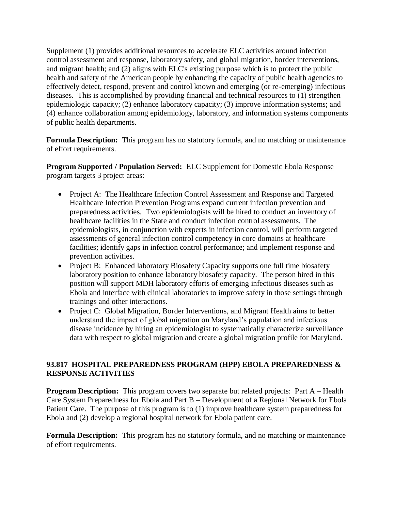Supplement (1) provides additional resources to accelerate ELC activities around infection control assessment and response, laboratory safety, and global migration, border interventions, and migrant health; and (2) aligns with ELC's existing purpose which is to protect the public health and safety of the American people by enhancing the capacity of public health agencies to effectively detect, respond, prevent and control known and emerging (or re-emerging) infectious diseases. This is accomplished by providing financial and technical resources to (1) strengthen epidemiologic capacity; (2) enhance laboratory capacity; (3) improve information systems; and (4) enhance collaboration among epidemiology, laboratory, and information systems components of public health departments.

**Formula Description:** This program has no statutory formula, and no matching or maintenance of effort requirements.

**Program Supported / Population Served:** ELC Supplement for Domestic Ebola Response program targets 3 project areas:

- Project A: The Healthcare Infection Control Assessment and Response and Targeted Healthcare Infection Prevention Programs expand current infection prevention and preparedness activities. Two epidemiologists will be hired to conduct an inventory of healthcare facilities in the State and conduct infection control assessments. The epidemiologists, in conjunction with experts in infection control, will perform targeted assessments of general infection control competency in core domains at healthcare facilities; identify gaps in infection control performance; and implement response and prevention activities.
- Project B: Enhanced laboratory Biosafety Capacity supports one full time biosafety laboratory position to enhance laboratory biosafety capacity. The person hired in this position will support MDH laboratory efforts of emerging infectious diseases such as Ebola and interface with clinical laboratories to improve safety in those settings through trainings and other interactions.
- Project C: Global Migration, Border Interventions, and Migrant Health aims to better understand the impact of global migration on Maryland's population and infectious disease incidence by hiring an epidemiologist to systematically characterize surveillance data with respect to global migration and create a global migration profile for Maryland.

# **93.817 HOSPITAL PREPAREDNESS PROGRAM (HPP) EBOLA PREPAREDNESS & RESPONSE ACTIVITIES**

**Program Description:** This program covers two separate but related projects: Part A – Health Care System Preparedness for Ebola and Part B – Development of a Regional Network for Ebola Patient Care. The purpose of this program is to (1) improve healthcare system preparedness for Ebola and (2) develop a regional hospital network for Ebola patient care.

**Formula Description:** This program has no statutory formula, and no matching or maintenance of effort requirements.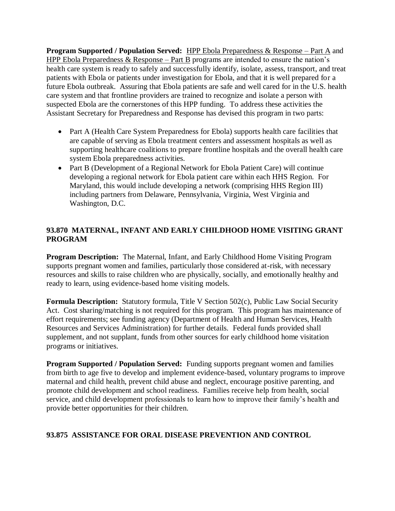**Program Supported / Population Served:** HPP Ebola Preparedness & Response – Part A and HPP Ebola Preparedness  $\&$  Response – Part B programs are intended to ensure the nation's health care system is ready to safely and successfully identify, isolate, assess, transport, and treat patients with Ebola or patients under investigation for Ebola, and that it is well prepared for a future Ebola outbreak. Assuring that Ebola patients are safe and well cared for in the U.S. health care system and that frontline providers are trained to recognize and isolate a person with suspected Ebola are the cornerstones of this HPP funding. To address these activities the Assistant Secretary for Preparedness and Response has devised this program in two parts:

- Part A (Health Care System Preparedness for Ebola) supports health care facilities that are capable of serving as Ebola treatment centers and assessment hospitals as well as supporting healthcare coalitions to prepare frontline hospitals and the overall health care system Ebola preparedness activities.
- Part B (Development of a Regional Network for Ebola Patient Care) will continue developing a regional network for Ebola patient care within each HHS Region. For Maryland, this would include developing a network (comprising HHS Region III) including partners from Delaware, Pennsylvania, Virginia, West Virginia and Washington, D.C.

# **93.870 MATERNAL, INFANT AND EARLY CHILDHOOD HOME VISITING GRANT PROGRAM**

**Program Description:** The Maternal, Infant, and Early Childhood Home Visiting Program supports pregnant women and families, particularly those considered at-risk, with necessary resources and skills to raise children who are physically, socially, and emotionally healthy and ready to learn, using evidence-based home visiting models.

**Formula Description:** Statutory formula, Title V Section 502(c), Public Law Social Security Act. Cost sharing/matching is not required for this program. This program has maintenance of effort requirements; see funding agency (Department of Health and Human Services, Health Resources and Services Administration) for further details. Federal funds provided shall supplement, and not supplant, funds from other sources for early childhood home visitation programs or initiatives.

**Program Supported / Population Served:** Funding supports pregnant women and families from birth to age five to develop and implement evidence-based, voluntary programs to improve maternal and child health, prevent child abuse and neglect, encourage positive parenting, and promote child development and school readiness. Families receive help from health, social service, and child development professionals to learn how to improve their family's health and provide better opportunities for their children.

# **93.875 ASSISTANCE FOR ORAL DISEASE PREVENTION AND CONTROL**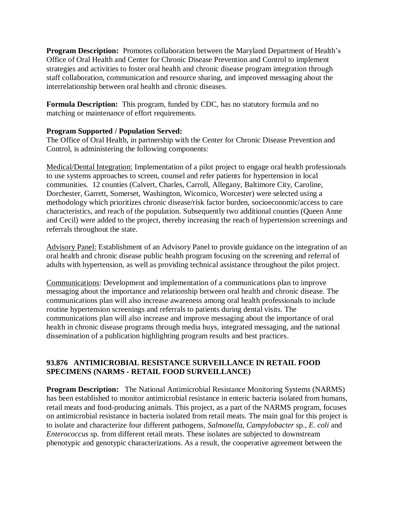**Program Description:** Promotes collaboration between the Maryland Department of Health's Office of Oral Health and Center for Chronic Disease Prevention and Control to implement strategies and activities to foster oral health and chronic disease program integration through staff collaboration, communication and resource sharing, and improved messaging about the interrelationship between oral health and chronic diseases.

**Formula Description:** This program, funded by CDC, has no statutory formula and no matching or maintenance of effort requirements.

#### **Program Supported / Population Served:**

The Office of Oral Health, in partnership with the Center for Chronic Disease Prevention and Control, is administering the following components:

Medical/Dental Integration: Implementation of a pilot project to engage oral health professionals to use systems approaches to screen, counsel and refer patients for hypertension in local communities. 12 counties (Calvert, Charles, Carroll, Allegany, Baltimore City, Caroline, Dorchester, Garrett, Somerset, Washington, Wicomico, Worcester) were selected using a methodology which prioritizes chronic disease/risk factor burden, socioeconomic/access to care characteristics, and reach of the population. Subsequently two additional counties (Queen Anne and Cecil) were added to the project, thereby increasing the reach of hypertension screenings and referrals throughout the state.

Advisory Panel: Establishment of an Advisory Panel to provide guidance on the integration of an oral health and chronic disease public health program focusing on the screening and referral of adults with hypertension, as well as providing technical assistance throughout the pilot project.

Communications: Development and implementation of a communications plan to improve messaging about the importance and relationship between oral health and chronic disease. The communications plan will also increase awareness among oral health professionals to include routine hypertension screenings and referrals to patients during dental visits. The communications plan will also increase and improve messaging about the importance of oral health in chronic disease programs through media buys, integrated messaging, and the national dissemination of a publication highlighting program results and best practices.

# **93.876 ANTIMICROBIAL RESISTANCE SURVEILLANCE IN RETAIL FOOD SPECIMENS (NARMS - RETAIL FOOD SURVEILLANCE)**

**Program Description:** The National Antimicrobial Resistance Monitoring Systems (NARMS) has been established to monitor antimicrobial resistance in enteric bacteria isolated from humans, retail meats and food-producing animals. This project, as a part of the NARMS program, focuses on antimicrobial resistance in bacteria isolated from retail meats. The main goal for this project is to isolate and characterize four different pathogens, *Salmonella*, *Campylobacter* sp., *E. coli* and *Enterococcus* sp. from different retail meats. These isolates are subjected to downstream phenotypic and genotypic characterizations. As a result, the cooperative agreement between the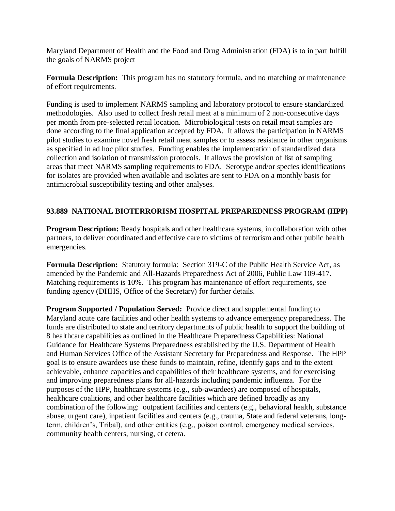Maryland Department of Health and the Food and Drug Administration (FDA) is to in part fulfill the goals of NARMS project

**Formula Description:** This program has no statutory formula, and no matching or maintenance of effort requirements.

Funding is used to implement NARMS sampling and laboratory protocol to ensure standardized methodologies. Also used to collect fresh retail meat at a minimum of 2 non-consecutive days per month from pre-selected retail location. Microbiological tests on retail meat samples are done according to the final application accepted by FDA. It allows the participation in NARMS pilot studies to examine novel fresh retail meat samples or to assess resistance in other organisms as specified in ad hoc pilot studies. Funding enables the implementation of standardized data collection and isolation of transmission protocols. It allows the provision of list of sampling areas that meet NARMS sampling requirements to FDA. Serotype and/or species identifications for isolates are provided when available and isolates are sent to FDA on a monthly basis for antimicrobial susceptibility testing and other analyses.

# **93.889 NATIONAL BIOTERRORISM HOSPITAL PREPAREDNESS PROGRAM (HPP)**

**Program Description:** Ready hospitals and other healthcare systems, in collaboration with other partners, to deliver coordinated and effective care to victims of terrorism and other public health emergencies.

**Formula Description:** Statutory formula: Section 319-C of the Public Health Service Act, as amended by the Pandemic and All-Hazards Preparedness Act of 2006, Public Law 109-417. Matching requirements is 10%. This program has maintenance of effort requirements, see funding agency (DHHS, Office of the Secretary) for further details.

**Program Supported / Population Served:** Provide direct and supplemental funding to Maryland acute care facilities and other health systems to advance emergency preparedness. The funds are distributed to state and territory departments of public health to support the building of 8 healthcare capabilities as outlined in the Healthcare Preparedness Capabilities: National Guidance for Healthcare Systems Preparedness established by the U.S. Department of Health and Human Services Office of the Assistant Secretary for Preparedness and Response. The HPP goal is to ensure awardees use these funds to maintain, refine, identify gaps and to the extent achievable, enhance capacities and capabilities of their healthcare systems, and for exercising and improving preparedness plans for all-hazards including pandemic influenza. For the purposes of the HPP, healthcare systems (e.g., sub-awardees) are composed of hospitals, healthcare coalitions, and other healthcare facilities which are defined broadly as any combination of the following: outpatient facilities and centers (e.g., behavioral health, substance abuse, urgent care), inpatient facilities and centers (e.g., trauma, State and federal veterans, longterm, children's, Tribal), and other entities (e.g., poison control, emergency medical services, community health centers, nursing, et cetera.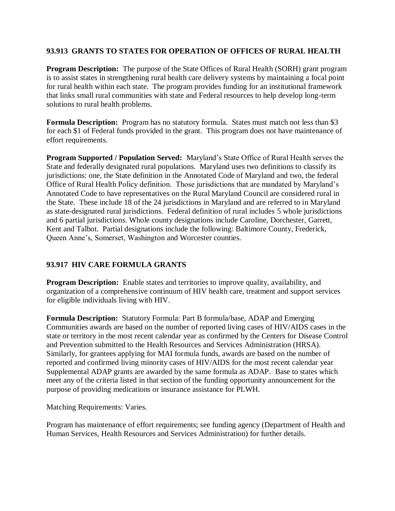#### **93.913 GRANTS TO STATES FOR OPERATION OF OFFICES OF RURAL HEALTH**

**Program Description:** The purpose of the State Offices of Rural Health (SORH) grant program is to assist states in strengthening rural health care delivery systems by maintaining a focal point for rural health within each state. The program provides funding for an institutional framework that links small rural communities with state and Federal resources to help develop long-term solutions to rural health problems.

**Formula Description:** Program has no statutory formula. States must match not less than \$3 for each \$1 of Federal funds provided in the grant. This program does not have maintenance of effort requirements.

**Program Supported / Population Served:** Maryland's State Office of Rural Health serves the State and federally designated rural populations. Maryland uses two definitions to classify its jurisdictions: one, the State definition in the Annotated Code of Maryland and two, the federal Office of Rural Health Policy definition. Those jurisdictions that are mandated by Maryland's Annotated Code to have representatives on the Rural Maryland Council are considered rural in the State. These include 18 of the 24 jurisdictions in Maryland and are referred to in Maryland as state-designated rural jurisdictions. Federal definition of rural includes 5 whole jurisdictions and 6 partial jurisdictions. Whole county designations include Caroline, Dorchester, Garrett, Kent and Talbot. Partial designations include the following: Baltimore County, Frederick, Queen Anne's, Somerset, Washington and Worcester counties.

# **93.917 HIV CARE FORMULA GRANTS**

**Program Description:** Enable states and territories to improve quality, availability, and organization of a comprehensive continuum of HIV health care, treatment and support services for eligible individuals living with HIV.

**Formula Description:** Statutory Formula: Part B formula/base, ADAP and Emerging Communities awards are based on the number of reported living cases of HIV/AIDS cases in the state or territory in the most recent calendar year as confirmed by the Centers for Disease Control and Prevention submitted to the Health Resources and Services Administration (HRSA). Similarly, for grantees applying for MAI formula funds, awards are based on the number of reported and confirmed living minority cases of HIV/AIDS for the most recent calendar year Supplemental ADAP grants are awarded by the same formula as ADAP. Base to states which meet any of the criteria listed in that section of the funding opportunity announcement for the purpose of providing medications or insurance assistance for PLWH.

Matching Requirements: Varies.

Program has maintenance of effort requirements; see funding agency (Department of Health and Human Services, Health Resources and Services Administration) for further details.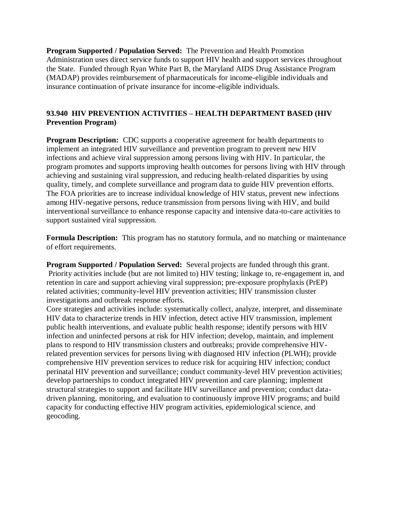**Program Supported / Population Served:** The Prevention and Health Promotion Administration uses direct service funds to support HIV health and support services throughout the State. Funded through Ryan White Part B, the Maryland AIDS Drug Assistance Program (MADAP) provides reimbursement of pharmaceuticals for income-eligible individuals and insurance continuation of private insurance for income-eligible individuals.

# **93.940 HIV PREVENTION ACTIVITIES – HEALTH DEPARTMENT BASED (HIV Prevention Program)**

**Program Description:** CDC supports a cooperative agreement for health departments to implement an integrated HIV surveillance and prevention program to prevent new HIV infections and achieve viral suppression among persons living with HIV. In particular, the program promotes and supports improving health outcomes for persons living with HIV through achieving and sustaining viral suppression, and reducing health-related disparities by using quality, timely, and complete surveillance and program data to guide HIV prevention efforts. The FOA priorities are to increase individual knowledge of HIV status, prevent new infections among HIV-negative persons, reduce transmission from persons living with HIV, and build interventional surveillance to enhance response capacity and intensive data-to-care activities to support sustained viral suppression.

**Formula Description:** This program has no statutory formula, and no matching or maintenance of effort requirements.

**Program Supported / Population Served:** Several projects are funded through this grant. Priority activities include (but are not limited to) HIV testing; linkage to, re-engagement in, and retention in care and support achieving viral suppression; pre-exposure prophylaxis (PrEP) related activities; community-level HIV prevention activities; HIV transmission cluster investigations and outbreak response efforts.

Core strategies and activities include: systematically collect, analyze, interpret, and disseminate HIV data to characterize trends in HIV infection, detect active HIV transmission, implement public health interventions, and evaluate public health response; identify persons with HIV infection and uninfected persons at risk for HIV infection; develop, maintain, and implement plans to respond to HIV transmission clusters and outbreaks; provide comprehensive HIVrelated prevention services for persons living with diagnosed HIV infection (PLWH); provide comprehensive HIV prevention services to reduce risk for acquiring HIV infection; conduct perinatal HIV prevention and surveillance; conduct community-level HIV prevention activities; develop partnerships to conduct integrated HIV prevention and care planning; implement structural strategies to support and facilitate HIV surveillance and prevention; conduct datadriven planning, monitoring, and evaluation to continuously improve HIV programs; and build capacity for conducting effective HIV program activities, epidemiological science, and geocoding.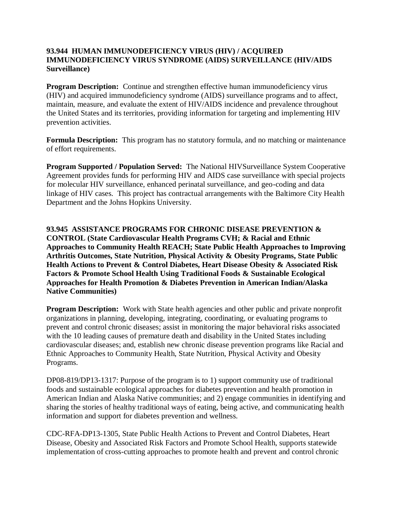#### **93.944 HUMAN IMMUNODEFICIENCY VIRUS (HIV) / ACQUIRED IMMUNODEFICIENCY VIRUS SYNDROME (AIDS) SURVEILLANCE (HIV/AIDS Surveillance)**

**Program Description:** Continue and strengthen effective human immunodeficiency virus (HIV) and acquired immunodeficiency syndrome (AIDS) surveillance programs and to affect, maintain, measure, and evaluate the extent of HIV/AIDS incidence and prevalence throughout the United States and its territories, providing information for targeting and implementing HIV prevention activities.

**Formula Description:** This program has no statutory formula, and no matching or maintenance of effort requirements.

**Program Supported / Population Served:** The National HIVSurveillance System Cooperative Agreement provides funds for performing HIV and AIDS case surveillance with special projects for molecular HIV surveillance, enhanced perinatal surveillance, and geo-coding and data linkage of HIV cases. This project has contractual arrangements with the Baltimore City Health Department and the Johns Hopkins University.

**93.945 ASSISTANCE PROGRAMS FOR CHRONIC DISEASE PREVENTION & CONTROL (State Cardiovascular Health Programs CVH; & Racial and Ethnic Approaches to Community Health REACH; State Public Health Approaches to Improving Arthritis Outcomes, State Nutrition, Physical Activity & Obesity Programs, State Public Health Actions to Prevent & Control Diabetes, Heart Disease Obesity & Associated Risk Factors & Promote School Health Using Traditional Foods & Sustainable Ecological Approaches for Health Promotion & Diabetes Prevention in American Indian/Alaska Native Communities)**

**Program Description:** Work with State health agencies and other public and private nonprofit organizations in planning, developing, integrating, coordinating, or evaluating programs to prevent and control chronic diseases; assist in monitoring the major behavioral risks associated with the 10 leading causes of premature death and disability in the United States including cardiovascular diseases; and, establish new chronic disease prevention programs like Racial and Ethnic Approaches to Community Health, State Nutrition, Physical Activity and Obesity Programs.

DP08-819/DP13-1317: Purpose of the program is to 1) support community use of traditional foods and sustainable ecological approaches for diabetes prevention and health promotion in American Indian and Alaska Native communities; and 2) engage communities in identifying and sharing the stories of healthy traditional ways of eating, being active, and communicating health information and support for diabetes prevention and wellness.

CDC-RFA-DP13-1305, State Public Health Actions to Prevent and Control Diabetes, Heart Disease, Obesity and Associated Risk Factors and Promote School Health, supports statewide implementation of cross-cutting approaches to promote health and prevent and control chronic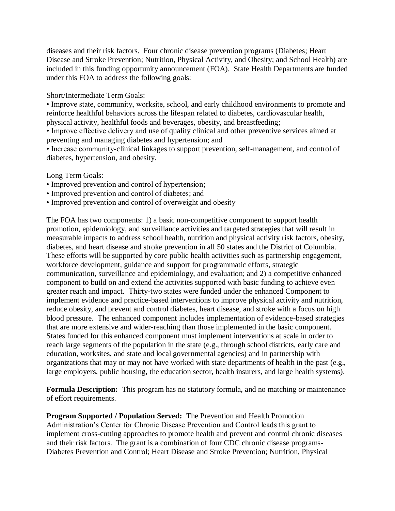diseases and their risk factors. Four chronic disease prevention programs (Diabetes; Heart Disease and Stroke Prevention; Nutrition, Physical Activity, and Obesity; and School Health) are included in this funding opportunity announcement (FOA). State Health Departments are funded under this FOA to address the following goals:

#### Short/Intermediate Term Goals:

• Improve state, community, worksite, school, and early childhood environments to promote and reinforce healthful behaviors across the lifespan related to diabetes, cardiovascular health, physical activity, healthful foods and beverages, obesity, and breastfeeding;

• Improve effective delivery and use of quality clinical and other preventive services aimed at preventing and managing diabetes and hypertension; and

• Increase community-clinical linkages to support prevention, self-management, and control of diabetes, hypertension, and obesity.

Long Term Goals:

- Improved prevention and control of hypertension;
- Improved prevention and control of diabetes; and
- Improved prevention and control of overweight and obesity

The FOA has two components: 1) a basic non-competitive component to support health promotion, epidemiology, and surveillance activities and targeted strategies that will result in measurable impacts to address school health, nutrition and physical activity risk factors, obesity, diabetes, and heart disease and stroke prevention in all 50 states and the District of Columbia. These efforts will be supported by core public health activities such as partnership engagement, workforce development, guidance and support for programmatic efforts, strategic communication, surveillance and epidemiology, and evaluation; and 2) a competitive enhanced component to build on and extend the activities supported with basic funding to achieve even greater reach and impact. Thirty-two states were funded under the enhanced Component to implement evidence and practice-based interventions to improve physical activity and nutrition, reduce obesity, and prevent and control diabetes, heart disease, and stroke with a focus on high blood pressure. The enhanced component includes implementation of evidence-based strategies that are more extensive and wider-reaching than those implemented in the basic component. States funded for this enhanced component must implement interventions at scale in order to reach large segments of the population in the state (e.g., through school districts, early care and education, worksites, and state and local governmental agencies) and in partnership with organizations that may or may not have worked with state departments of health in the past (e.g., large employers, public housing, the education sector, health insurers, and large health systems).

**Formula Description:** This program has no statutory formula, and no matching or maintenance of effort requirements.

**Program Supported / Population Served:** The Prevention and Health Promotion Administration's Center for Chronic Disease Prevention and Control leads this grant to implement cross-cutting approaches to promote health and prevent and control chronic diseases and their risk factors. The grant is a combination of four CDC chronic disease programs-Diabetes Prevention and Control; Heart Disease and Stroke Prevention; Nutrition, Physical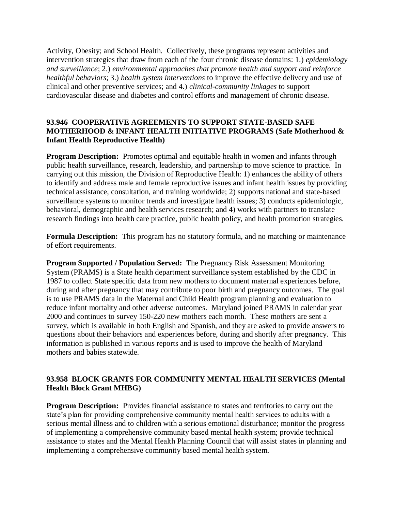Activity, Obesity; and School Health. Collectively, these programs represent activities and intervention strategies that draw from each of the four chronic disease domains: 1.) *epidemiology and surveillance*; 2.) *environmental approaches that promote health and support and reinforce healthful behaviors*; 3.) *health system interventions* to improve the effective delivery and use of clinical and other preventive services; and 4.) *clinical-community linkages* to support cardiovascular disease and diabetes and control efforts and management of chronic disease.

# **93.946 COOPERATIVE AGREEMENTS TO SUPPORT STATE-BASED SAFE MOTHERHOOD & INFANT HEALTH INITIATIVE PROGRAMS (Safe Motherhood & Infant Health Reproductive Health)**

**Program Description:** Promotes optimal and equitable health in women and infants through public health surveillance, research, leadership, and partnership to move science to practice. In carrying out this mission, the Division of Reproductive Health: 1) enhances the ability of others to identify and address male and female reproductive issues and infant health issues by providing technical assistance, consultation, and training worldwide; 2) supports national and state-based surveillance systems to monitor trends and investigate health issues; 3) conducts epidemiologic, behavioral, demographic and health services research; and 4) works with partners to translate research findings into health care practice, public health policy, and health promotion strategies.

**Formula Description:** This program has no statutory formula, and no matching or maintenance of effort requirements.

**Program Supported / Population Served:** The Pregnancy Risk Assessment Monitoring System (PRAMS) is a State health department surveillance system established by the CDC in 1987 to collect State specific data from new mothers to document maternal experiences before, during and after pregnancy that may contribute to poor birth and pregnancy outcomes. The goal is to use PRAMS data in the Maternal and Child Health program planning and evaluation to reduce infant mortality and other adverse outcomes. Maryland joined PRAMS in calendar year 2000 and continues to survey 150-220 new mothers each month. These mothers are sent a survey, which is available in both English and Spanish, and they are asked to provide answers to questions about their behaviors and experiences before, during and shortly after pregnancy. This information is published in various reports and is used to improve the health of Maryland mothers and babies statewide.

# **93.958 BLOCK GRANTS FOR COMMUNITY MENTAL HEALTH SERVICES (Mental Health Block Grant MHBG)**

**Program Description:** Provides financial assistance to states and territories to carry out the state's plan for providing comprehensive community mental health services to adults with a serious mental illness and to children with a serious emotional disturbance; monitor the progress of implementing a comprehensive community based mental health system; provide technical assistance to states and the Mental Health Planning Council that will assist states in planning and implementing a comprehensive community based mental health system.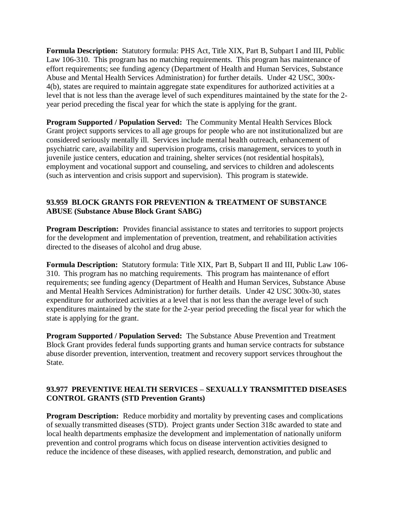**Formula Description:** Statutory formula: PHS Act, Title XIX, Part B, Subpart I and III, Public Law 106-310. This program has no matching requirements. This program has maintenance of effort requirements; see funding agency (Department of Health and Human Services, Substance Abuse and Mental Health Services Administration) for further details. Under 42 USC, 300x-4(b), states are required to maintain aggregate state expenditures for authorized activities at a level that is not less than the average level of such expenditures maintained by the state for the 2 year period preceding the fiscal year for which the state is applying for the grant.

**Program Supported / Population Served:** The Community Mental Health Services Block Grant project supports services to all age groups for people who are not institutionalized but are considered seriously mentally ill. Services include mental health outreach, enhancement of psychiatric care, availability and supervision programs, crisis management, services to youth in juvenile justice centers, education and training, shelter services (not residential hospitals), employment and vocational support and counseling, and services to children and adolescents (such as intervention and crisis support and supervision). This program is statewide.

# **93.959 BLOCK GRANTS FOR PREVENTION & TREATMENT OF SUBSTANCE ABUSE (Substance Abuse Block Grant SABG)**

**Program Description:** Provides financial assistance to states and territories to support projects for the development and implementation of prevention, treatment, and rehabilitation activities directed to the diseases of alcohol and drug abuse.

**Formula Description:** Statutory formula: Title XIX, Part B, Subpart II and III, Public Law 106- 310. This program has no matching requirements. This program has maintenance of effort requirements; see funding agency (Department of Health and Human Services, Substance Abuse and Mental Health Services Administration) for further details. Under 42 USC 300x-30, states expenditure for authorized activities at a level that is not less than the average level of such expenditures maintained by the state for the 2-year period preceding the fiscal year for which the state is applying for the grant.

**Program Supported / Population Served:** The Substance Abuse Prevention and Treatment Block Grant provides federal funds supporting grants and human service contracts for substance abuse disorder prevention, intervention, treatment and recovery support services throughout the State.

# **93.977 PREVENTIVE HEALTH SERVICES – SEXUALLY TRANSMITTED DISEASES CONTROL GRANTS (STD Prevention Grants)**

**Program Description:** Reduce morbidity and mortality by preventing cases and complications of sexually transmitted diseases (STD). Project grants under Section 318c awarded to state and local health departments emphasize the development and implementation of nationally uniform prevention and control programs which focus on disease intervention activities designed to reduce the incidence of these diseases, with applied research, demonstration, and public and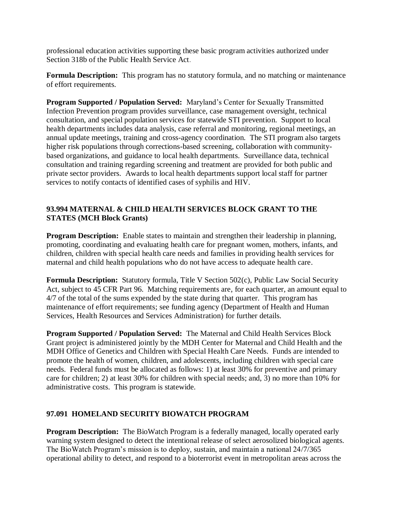professional education activities supporting these basic program activities authorized under Section 318b of the Public Health Service Act.

**Formula Description:** This program has no statutory formula, and no matching or maintenance of effort requirements.

**Program Supported / Population Served:** Maryland's Center for Sexually Transmitted Infection Prevention program provides surveillance, case management oversight, technical consultation, and special population services for statewide STI prevention. Support to local health departments includes data analysis, case referral and monitoring, regional meetings, an annual update meetings, training and cross-agency coordination. The STI program also targets higher risk populations through corrections-based screening, collaboration with communitybased organizations, and guidance to local health departments. Surveillance data, technical consultation and training regarding screening and treatment are provided for both public and private sector providers. Awards to local health departments support local staff for partner services to notify contacts of identified cases of syphilis and HIV.

# **93.994 MATERNAL & CHILD HEALTH SERVICES BLOCK GRANT TO THE STATES (MCH Block Grants)**

**Program Description:** Enable states to maintain and strengthen their leadership in planning, promoting, coordinating and evaluating health care for pregnant women, mothers, infants, and children, children with special health care needs and families in providing health services for maternal and child health populations who do not have access to adequate health care.

**Formula Description:** Statutory formula, Title V Section 502(c), Public Law Social Security Act, subject to 45 CFR Part 96. Matching requirements are, for each quarter, an amount equal to 4/7 of the total of the sums expended by the state during that quarter. This program has maintenance of effort requirements; see funding agency (Department of Health and Human Services, Health Resources and Services Administration) for further details.

**Program Supported / Population Served:** The Maternal and Child Health Services Block Grant project is administered jointly by the MDH Center for Maternal and Child Health and the MDH Office of Genetics and Children with Special Health Care Needs. Funds are intended to promote the health of women, children, and adolescents, including children with special care needs. Federal funds must be allocated as follows: 1) at least 30% for preventive and primary care for children; 2) at least 30% for children with special needs; and, 3) no more than 10% for administrative costs. This program is statewide.

# **97.091 HOMELAND SECURITY BIOWATCH PROGRAM**

**Program Description:** The BioWatch Program is a federally managed, locally operated early warning system designed to detect the intentional release of select aerosolized biological agents. The BioWatch Program's mission is to deploy, sustain, and maintain a national 24/7/365 operational ability to detect, and respond to a bioterrorist event in metropolitan areas across the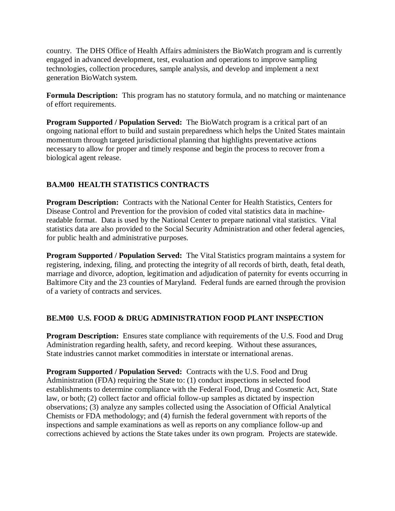country. The DHS Office of Health Affairs administers the BioWatch program and is currently engaged in advanced development, test, evaluation and operations to improve sampling technologies, collection procedures, sample analysis, and develop and implement a next generation BioWatch system.

**Formula Description:** This program has no statutory formula, and no matching or maintenance of effort requirements.

**Program Supported / Population Served:** The BioWatch program is a critical part of an ongoing national effort to build and sustain preparedness which helps the United States maintain momentum through targeted jurisdictional planning that highlights preventative actions necessary to allow for proper and timely response and begin the process to recover from a biological agent release.

# **BA.M00 HEALTH STATISTICS CONTRACTS**

**Program Description:** Contracts with the National Center for Health Statistics, Centers for Disease Control and Prevention for the provision of coded vital statistics data in machinereadable format. Data is used by the National Center to prepare national vital statistics. Vital statistics data are also provided to the Social Security Administration and other federal agencies, for public health and administrative purposes.

**Program Supported / Population Served:** The Vital Statistics program maintains a system for registering, indexing, filing, and protecting the integrity of all records of birth, death, fetal death, marriage and divorce, adoption, legitimation and adjudication of paternity for events occurring in Baltimore City and the 23 counties of Maryland. Federal funds are earned through the provision of a variety of contracts and services.

# **BE.M00 U.S. FOOD & DRUG ADMINISTRATION FOOD PLANT INSPECTION**

**Program Description:** Ensures state compliance with requirements of the U.S. Food and Drug Administration regarding health, safety, and record keeping. Without these assurances, State industries cannot market commodities in interstate or international arenas.

**Program Supported / Population Served:** Contracts with the U.S. Food and Drug Administration (FDA) requiring the State to: (1) conduct inspections in selected food establishments to determine compliance with the Federal Food, Drug and Cosmetic Act, State law, or both; (2) collect factor and official follow-up samples as dictated by inspection observations; (3) analyze any samples collected using the Association of Official Analytical Chemists or FDA methodology; and (4) furnish the federal government with reports of the inspections and sample examinations as well as reports on any compliance follow-up and corrections achieved by actions the State takes under its own program. Projects are statewide.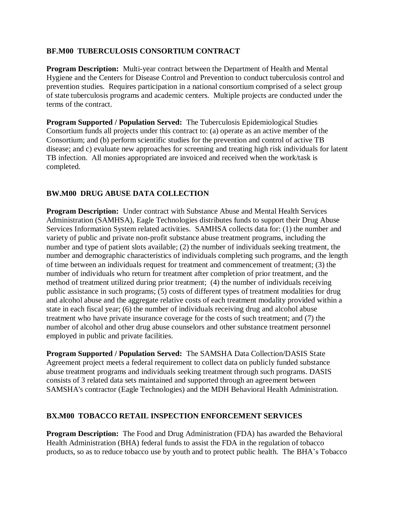#### **BF.M00 TUBERCULOSIS CONSORTIUM CONTRACT**

**Program Description:** Multi-year contract between the Department of Health and Mental Hygiene and the Centers for Disease Control and Prevention to conduct tuberculosis control and prevention studies. Requires participation in a national consortium comprised of a select group of state tuberculosis programs and academic centers. Multiple projects are conducted under the terms of the contract.

**Program Supported / Population Served:** The Tuberculosis Epidemiological Studies Consortium funds all projects under this contract to: (a) operate as an active member of the Consortium; and (b) perform scientific studies for the prevention and control of active TB disease; and c) evaluate new approaches for screening and treating high risk individuals for latent TB infection. All monies appropriated are invoiced and received when the work/task is completed.

# **BW.M00 DRUG ABUSE DATA COLLECTION**

**Program Description:** Under contract with Substance Abuse and Mental Health Services Administration (SAMHSA), Eagle Technologies distributes funds to support their Drug Abuse Services Information System related activities. SAMHSA collects data for: (1) the number and variety of public and private non-profit substance abuse treatment programs, including the number and type of patient slots available; (2) the number of individuals seeking treatment, the number and demographic characteristics of individuals completing such programs, and the length of time between an individuals request for treatment and commencement of treatment; (3) the number of individuals who return for treatment after completion of prior treatment, and the method of treatment utilized during prior treatment; (4) the number of individuals receiving public assistance in such programs; (5) costs of different types of treatment modalities for drug and alcohol abuse and the aggregate relative costs of each treatment modality provided within a state in each fiscal year; (6) the number of individuals receiving drug and alcohol abuse treatment who have private insurance coverage for the costs of such treatment; and (7) the number of alcohol and other drug abuse counselors and other substance treatment personnel employed in public and private facilities.

**Program Supported / Population Served:** The SAMSHA Data Collection/DASIS State Agreement project meets a federal requirement to collect data on publicly funded substance abuse treatment programs and individuals seeking treatment through such programs. DASIS consists of 3 related data sets maintained and supported through an agreement between SAMSHA's contractor (Eagle Technologies) and the MDH Behavioral Health Administration.

# **BX.M00 TOBACCO RETAIL INSPECTION ENFORCEMENT SERVICES**

**Program Description:** The Food and Drug Administration (FDA) has awarded the Behavioral Health Administration (BHA) federal funds to assist the FDA in the regulation of tobacco products, so as to reduce tobacco use by youth and to protect public health. The BHA's Tobacco